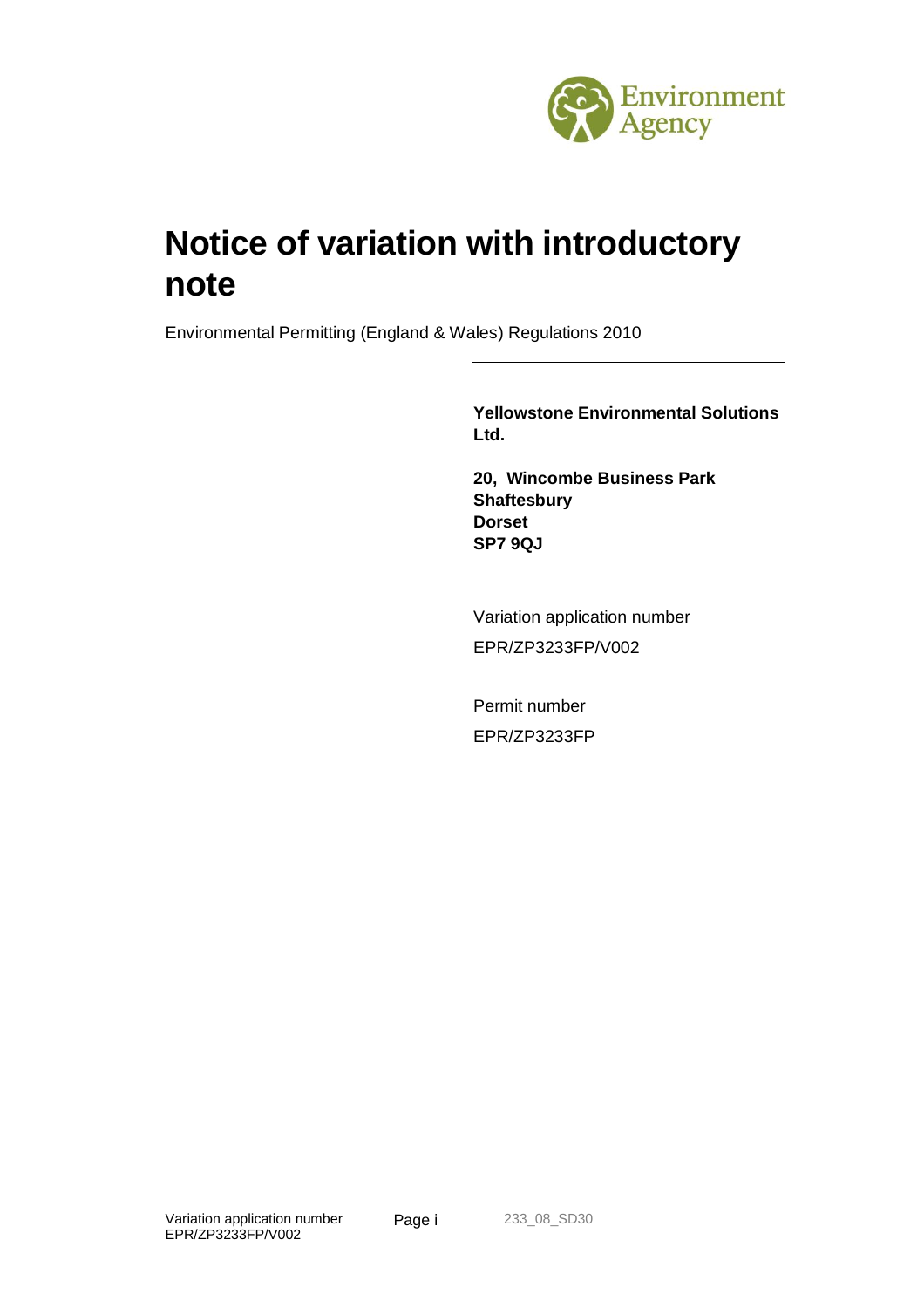

# **Notice of variation with introductory note**

Environmental Permitting (England & Wales) Regulations 2010

**Yellowstone Environmental Solutions Ltd.**

**20, Wincombe Business Park Shaftesbury Dorset SP7 9QJ**

Variation application number EPR/ZP3233FP/V002

Permit number EPR/ZP3233FP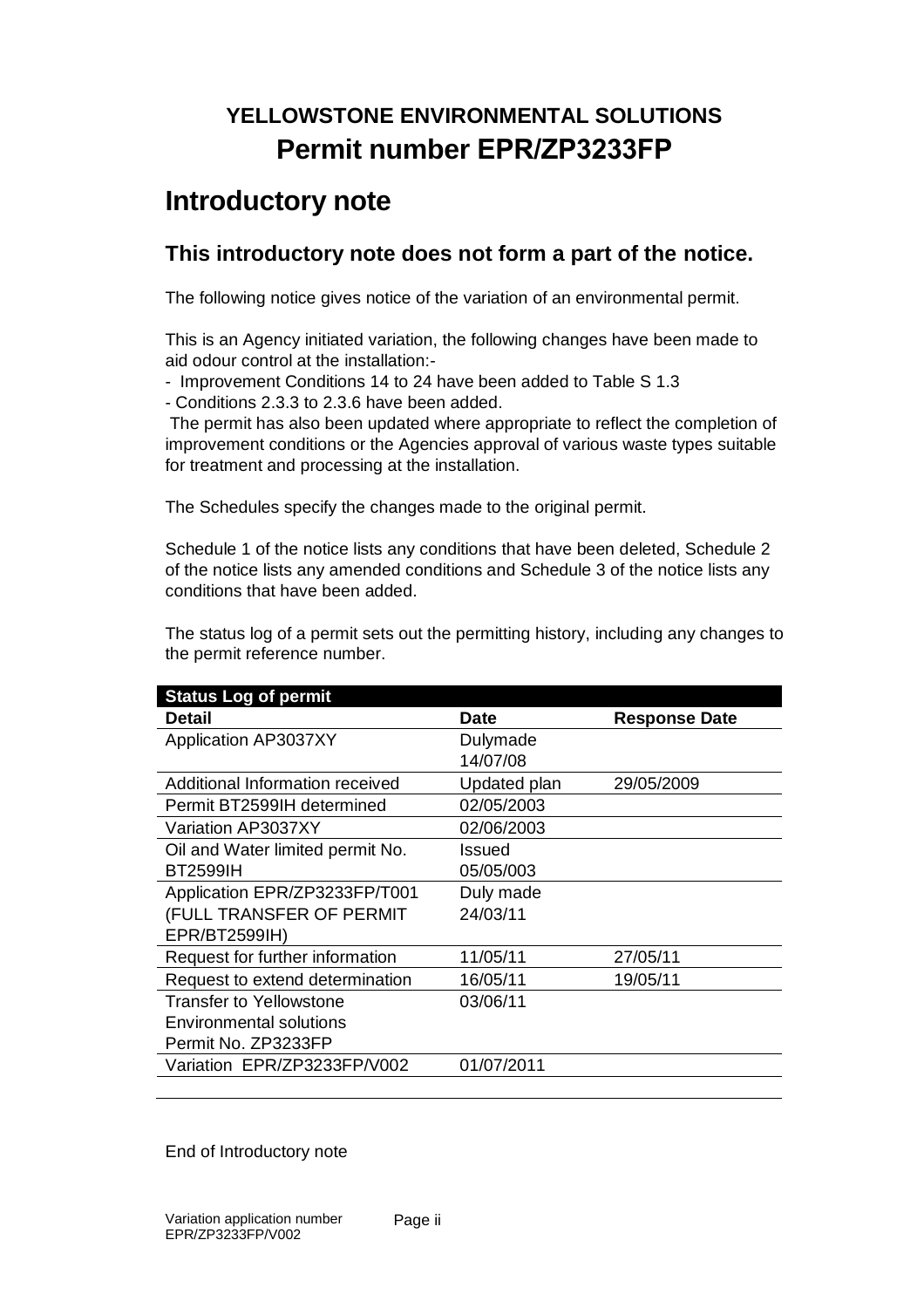## **YELLOWSTONE ENVIRONMENTAL SOLUTIONS Permit number EPR/ZP3233FP**

### **Introductory note**

### **This introductory note does not form a part of the notice.**

The following notice gives notice of the variation of an environmental permit.

This is an Agency initiated variation, the following changes have been made to aid odour control at the installation:-

- Improvement Conditions 14 to 24 have been added to Table S 1.3

- Conditions 2.3.3 to 2.3.6 have been added.

The permit has also been updated where appropriate to reflect the completion of improvement conditions or the Agencies approval of various waste types suitable for treatment and processing at the installation.

The Schedules specify the changes made to the original permit.

Schedule 1 of the notice lists any conditions that have been deleted, Schedule 2 of the notice lists any amended conditions and Schedule 3 of the notice lists any conditions that have been added.

The status log of a permit sets out the permitting history, including any changes to the permit reference number.

| <b>Status Log of permit</b>      |              |                      |
|----------------------------------|--------------|----------------------|
| Detail                           | <b>Date</b>  | <b>Response Date</b> |
| <b>Application AP3037XY</b>      | Dulymade     |                      |
|                                  | 14/07/08     |                      |
| Additional Information received  | Updated plan | 29/05/2009           |
| Permit BT2599IH determined       | 02/05/2003   |                      |
| Variation AP3037XY               | 02/06/2003   |                      |
| Oil and Water limited permit No. | Issued       |                      |
| <b>BT2599IH</b>                  | 05/05/003    |                      |
| Application EPR/ZP3233FP/T001    | Duly made    |                      |
| (FULL TRANSFER OF PERMIT         | 24/03/11     |                      |
| EPR/BT2599IH)                    |              |                      |
| Request for further information  | 11/05/11     | 27/05/11             |
| Request to extend determination  | 16/05/11     | 19/05/11             |
| Transfer to Yellowstone          | 03/06/11     |                      |
| Environmental solutions          |              |                      |
| Permit No. ZP3233FP              |              |                      |
| Variation EPR/ZP3233FP/V002      | 01/07/2011   |                      |
|                                  |              |                      |

End of Introductory note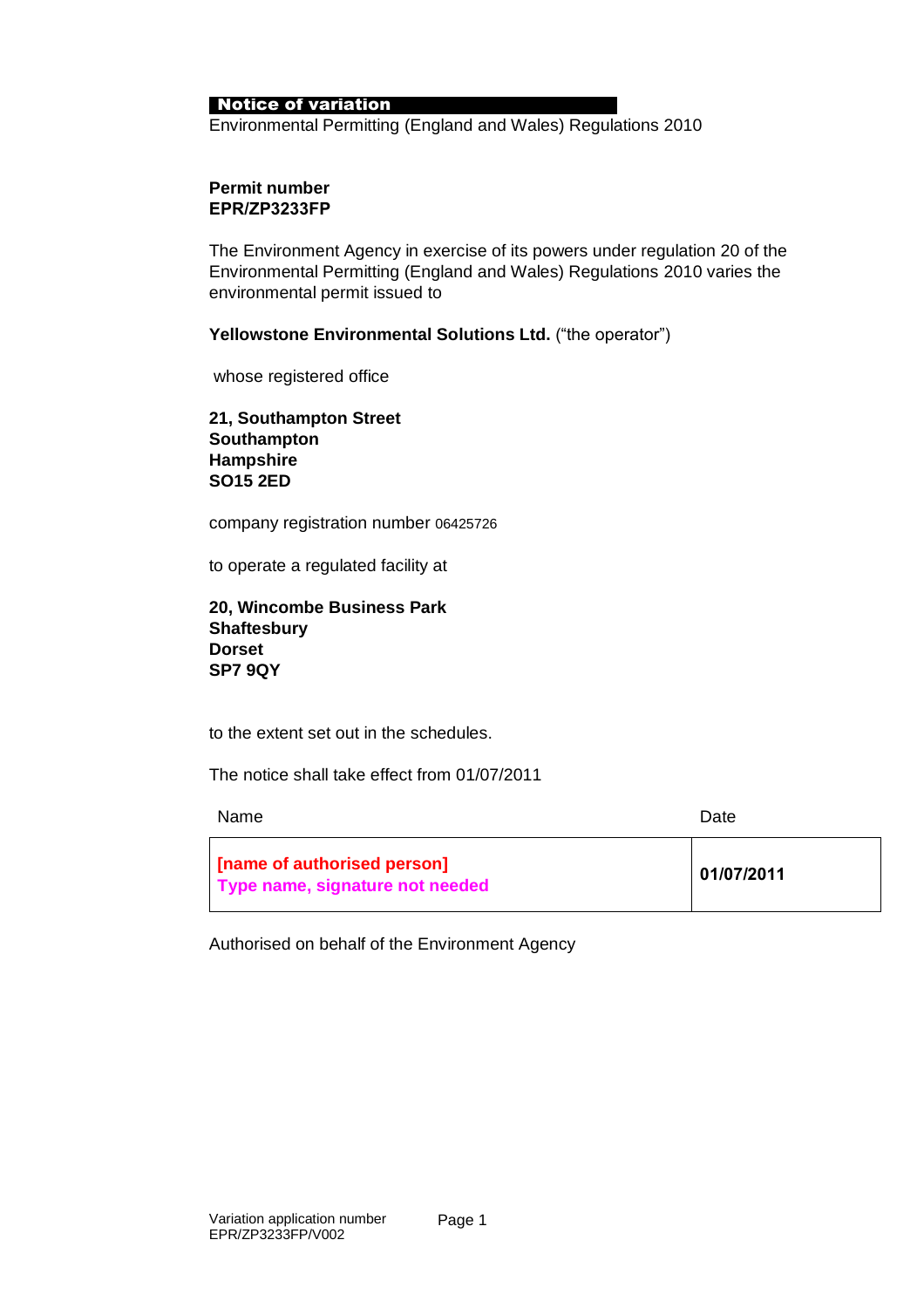#### Notice of variation

Environmental Permitting (England and Wales) Regulations 2010

#### **Permit number EPR/ZP3233FP**

The Environment Agency in exercise of its powers under regulation 20 of the Environmental Permitting (England and Wales) Regulations 2010 varies the environmental permit issued to

**Yellowstone Environmental Solutions Ltd.** ("the operator")

whose registered office

**21, Southampton Street Southampton Hampshire SO15 2ED**

company registration number 06425726

to operate a regulated facility at

**20, Wincombe Business Park Shaftesbury Dorset SP7 9QY**

to the extent set out in the schedules.

The notice shall take effect from 01/07/2011

| <b>Name</b>                                                      | Date       |
|------------------------------------------------------------------|------------|
| [finame of authorised person]<br>Type name, signature not needed | 01/07/2011 |

Authorised on behalf of the Environment Agency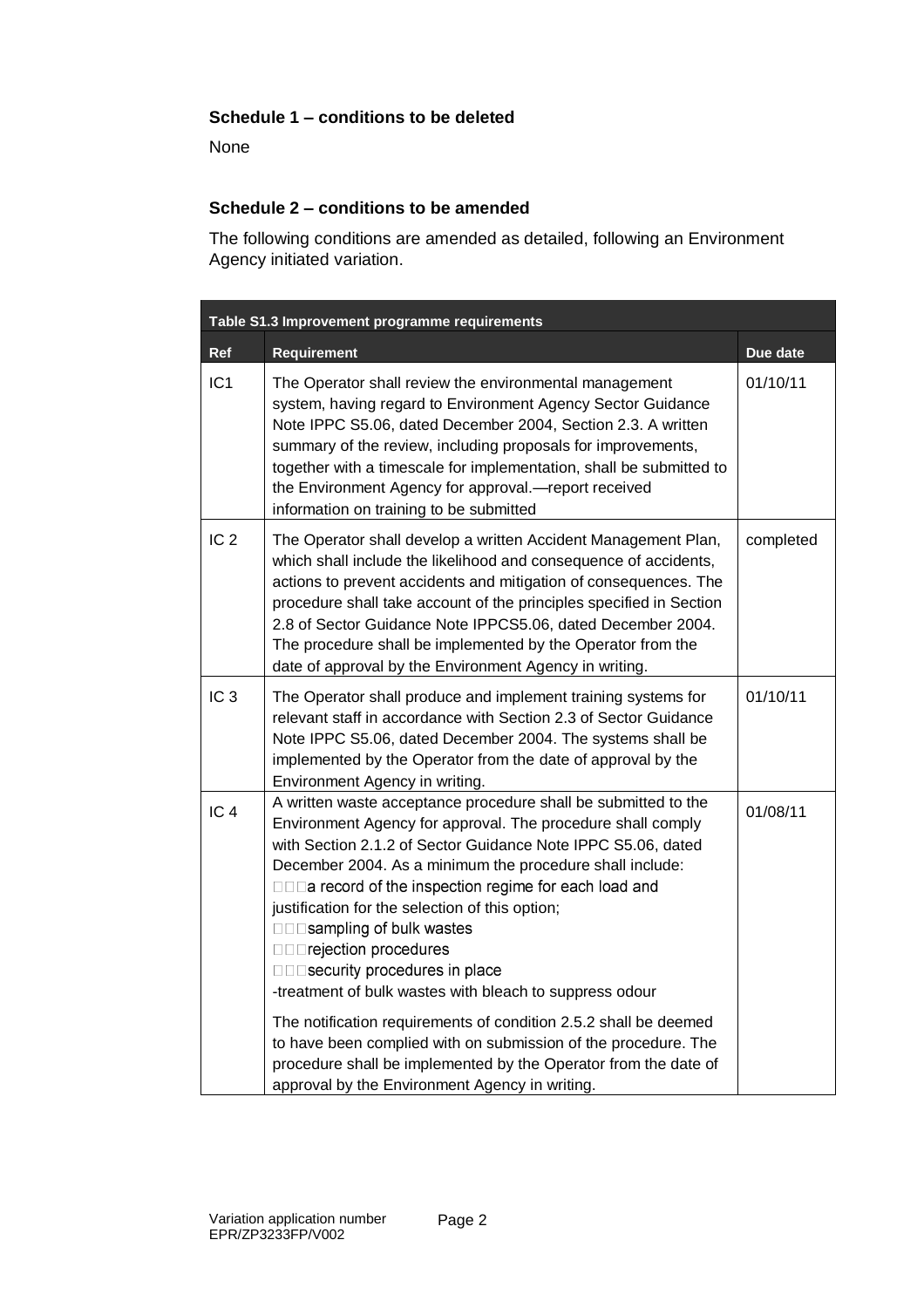#### **Schedule 1 – conditions to be deleted**

None

#### **Schedule 2 – conditions to be amended**

The following conditions are amended as detailed, following an Environment Agency initiated variation.

|                 | Table S1.3 Improvement programme requirements                                                                                                                                                                                                                                                                                                                                                                                                                                                                                        |           |  |  |
|-----------------|--------------------------------------------------------------------------------------------------------------------------------------------------------------------------------------------------------------------------------------------------------------------------------------------------------------------------------------------------------------------------------------------------------------------------------------------------------------------------------------------------------------------------------------|-----------|--|--|
| Ref             | <b>Requirement</b>                                                                                                                                                                                                                                                                                                                                                                                                                                                                                                                   | Due date  |  |  |
| IC <sub>1</sub> | The Operator shall review the environmental management<br>system, having regard to Environment Agency Sector Guidance<br>Note IPPC S5.06, dated December 2004, Section 2.3. A written<br>summary of the review, including proposals for improvements,<br>together with a timescale for implementation, shall be submitted to<br>the Environment Agency for approval.-report received<br>information on training to be submitted                                                                                                      | 01/10/11  |  |  |
| IC <sub>2</sub> | The Operator shall develop a written Accident Management Plan,<br>which shall include the likelihood and consequence of accidents,<br>actions to prevent accidents and mitigation of consequences. The<br>procedure shall take account of the principles specified in Section<br>2.8 of Sector Guidance Note IPPCS5.06, dated December 2004.<br>The procedure shall be implemented by the Operator from the<br>date of approval by the Environment Agency in writing.                                                                | completed |  |  |
| IC <sub>3</sub> | The Operator shall produce and implement training systems for<br>relevant staff in accordance with Section 2.3 of Sector Guidance<br>Note IPPC S5.06, dated December 2004. The systems shall be<br>implemented by the Operator from the date of approval by the<br>Environment Agency in writing.                                                                                                                                                                                                                                    | 01/10/11  |  |  |
| IC <sub>4</sub> | A written waste acceptance procedure shall be submitted to the<br>Environment Agency for approval. The procedure shall comply<br>with Section 2.1.2 of Sector Guidance Note IPPC S5.06, dated<br>December 2004. As a minimum the procedure shall include:<br>□□□a record of the inspection regime for each load and<br>justification for the selection of this option;<br>□□□sampling of bulk wastes<br><b>DODrejection procedures</b><br>□□□security procedures in place<br>-treatment of bulk wastes with bleach to suppress odour | 01/08/11  |  |  |
|                 | The notification requirements of condition 2.5.2 shall be deemed<br>to have been complied with on submission of the procedure. The<br>procedure shall be implemented by the Operator from the date of<br>approval by the Environment Agency in writing.                                                                                                                                                                                                                                                                              |           |  |  |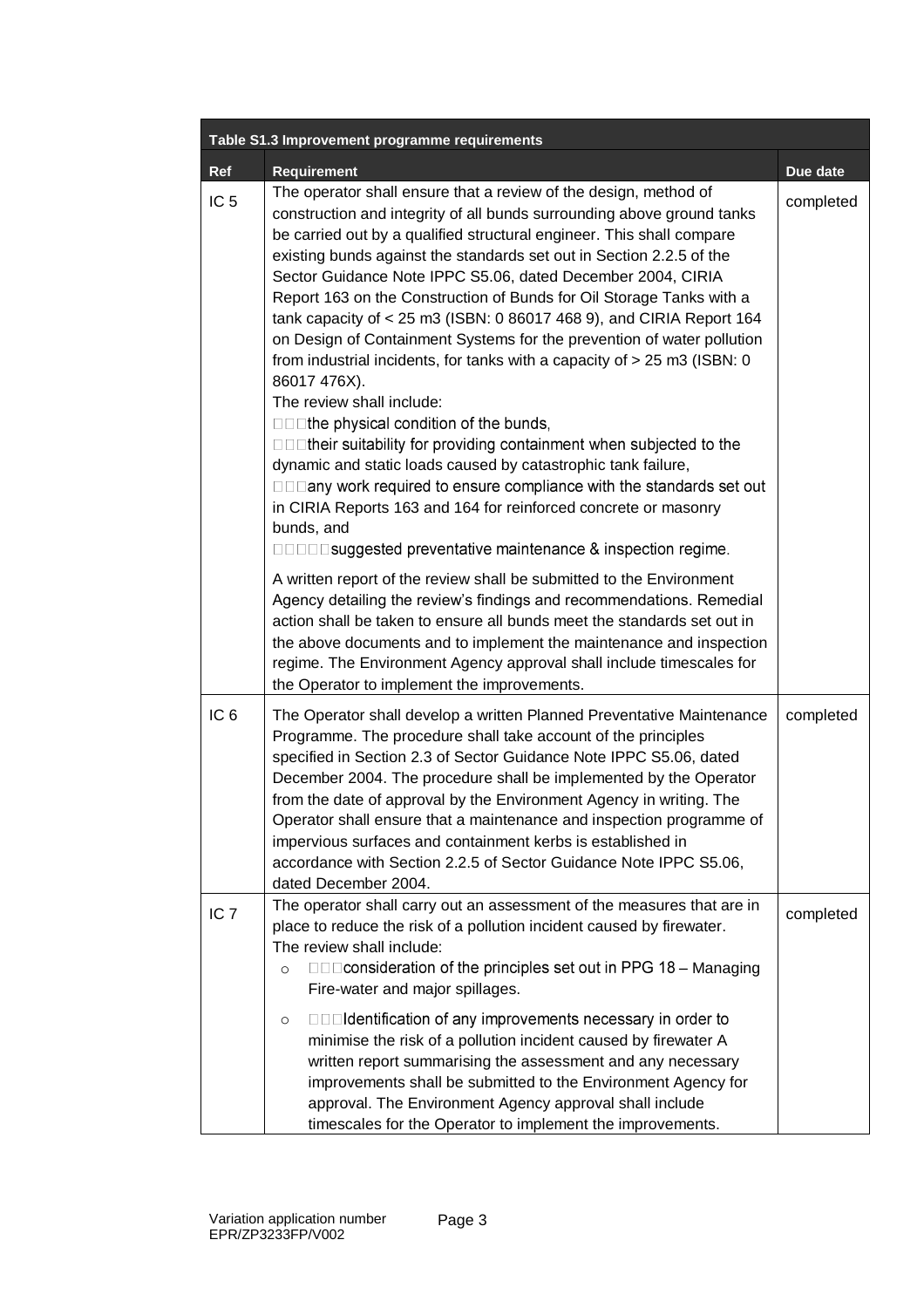| Table S1.3 Improvement programme requirements |                                                                                                                                                                                                                                                                                                                                                                                                                                                                                                                                                                                                                                                                                                                                                                                                                                                                                                                                                                                                                                                                                                                                     |           |  |
|-----------------------------------------------|-------------------------------------------------------------------------------------------------------------------------------------------------------------------------------------------------------------------------------------------------------------------------------------------------------------------------------------------------------------------------------------------------------------------------------------------------------------------------------------------------------------------------------------------------------------------------------------------------------------------------------------------------------------------------------------------------------------------------------------------------------------------------------------------------------------------------------------------------------------------------------------------------------------------------------------------------------------------------------------------------------------------------------------------------------------------------------------------------------------------------------------|-----------|--|
| Ref                                           | <b>Requirement</b>                                                                                                                                                                                                                                                                                                                                                                                                                                                                                                                                                                                                                                                                                                                                                                                                                                                                                                                                                                                                                                                                                                                  | Due date  |  |
| IC <sub>5</sub>                               | The operator shall ensure that a review of the design, method of<br>construction and integrity of all bunds surrounding above ground tanks<br>be carried out by a qualified structural engineer. This shall compare<br>existing bunds against the standards set out in Section 2.2.5 of the<br>Sector Guidance Note IPPC S5.06, dated December 2004, CIRIA<br>Report 163 on the Construction of Bunds for Oil Storage Tanks with a<br>tank capacity of < 25 m3 (ISBN: 0 86017 468 9), and CIRIA Report 164<br>on Design of Containment Systems for the prevention of water pollution<br>from industrial incidents, for tanks with a capacity of $> 25$ m3 (ISBN: 0<br>86017 476X).<br>The review shall include:<br>□□□the physical condition of the bunds,<br>□□□their suitability for providing containment when subjected to the<br>dynamic and static loads caused by catastrophic tank failure,<br>□□□any work required to ensure compliance with the standards set out<br>in CIRIA Reports 163 and 164 for reinforced concrete or masonry<br>bunds, and<br><b>DODD</b> suggested preventative maintenance & inspection regime. | completed |  |
|                                               | A written report of the review shall be submitted to the Environment<br>Agency detailing the review's findings and recommendations. Remedial<br>action shall be taken to ensure all bunds meet the standards set out in<br>the above documents and to implement the maintenance and inspection<br>regime. The Environment Agency approval shall include timescales for<br>the Operator to implement the improvements.                                                                                                                                                                                                                                                                                                                                                                                                                                                                                                                                                                                                                                                                                                               |           |  |
| IC <sub>6</sub>                               | The Operator shall develop a written Planned Preventative Maintenance<br>Programme. The procedure shall take account of the principles<br>specified in Section 2.3 of Sector Guidance Note IPPC S5.06, dated<br>December 2004. The procedure shall be implemented by the Operator<br>from the date of approval by the Environment Agency in writing. The<br>Operator shall ensure that a maintenance and inspection programme of<br>impervious surfaces and containment kerbs is established in<br>accordance with Section 2.2.5 of Sector Guidance Note IPPC S5.06,<br>dated December 2004.                                                                                                                                                                                                                                                                                                                                                                                                                                                                                                                                        | completed |  |
| IC <sub>7</sub>                               | The operator shall carry out an assessment of the measures that are in<br>place to reduce the risk of a pollution incident caused by firewater.<br>The review shall include:<br>□□□ consideration of the principles set out in PPG 18 – Managing<br>$\circ$<br>Fire-water and major spillages.<br>□□□Identification of any improvements necessary in order to<br>$\circ$<br>minimise the risk of a pollution incident caused by firewater A<br>written report summarising the assessment and any necessary<br>improvements shall be submitted to the Environment Agency for<br>approval. The Environment Agency approval shall include<br>timescales for the Operator to implement the improvements.                                                                                                                                                                                                                                                                                                                                                                                                                                | completed |  |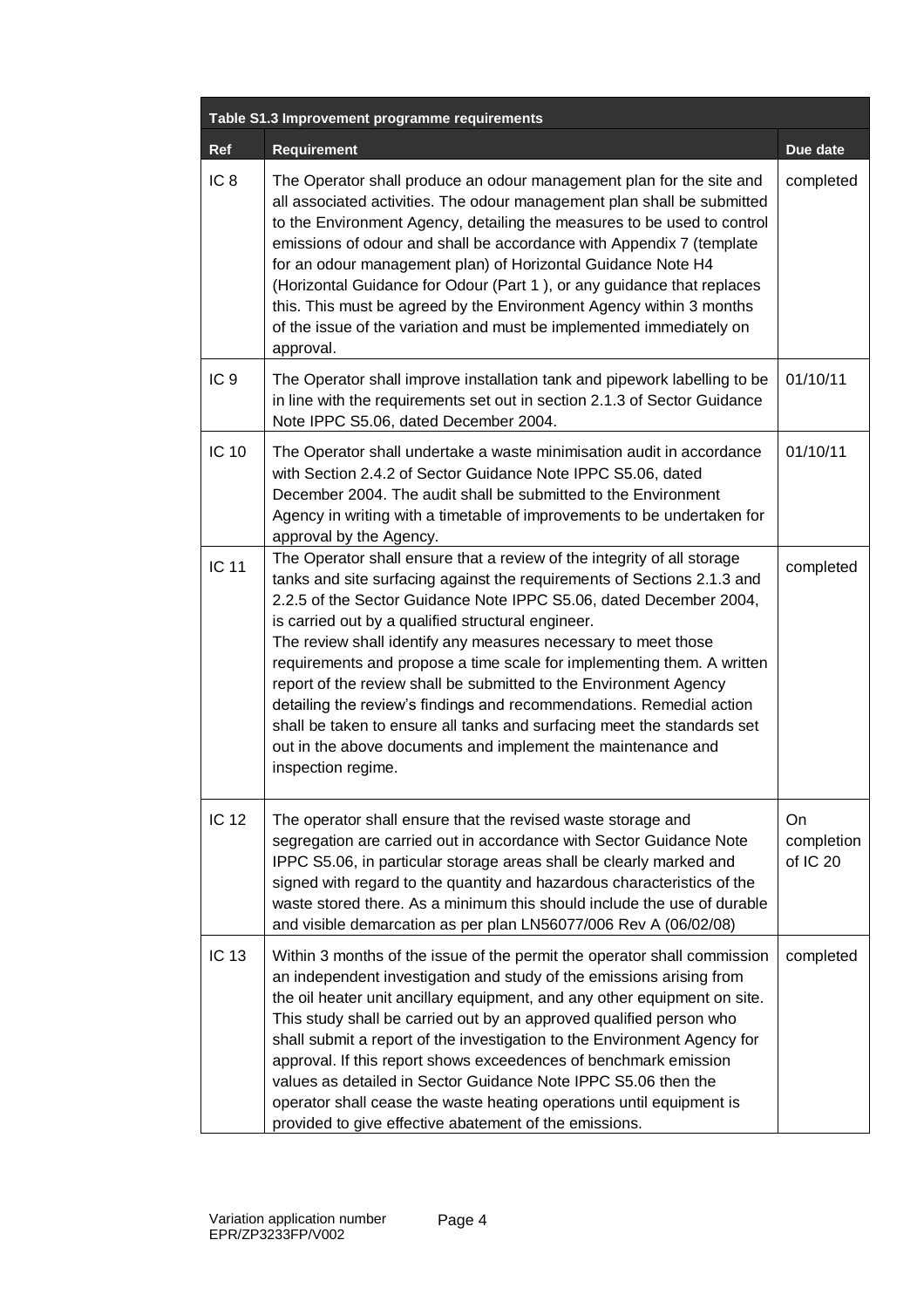|                 | Table S1.3 Improvement programme requirements                                                                                                                                                                                                                                                                                                                                                                                                                                                                                                                                                                                                                                                                                            |                              |
|-----------------|------------------------------------------------------------------------------------------------------------------------------------------------------------------------------------------------------------------------------------------------------------------------------------------------------------------------------------------------------------------------------------------------------------------------------------------------------------------------------------------------------------------------------------------------------------------------------------------------------------------------------------------------------------------------------------------------------------------------------------------|------------------------------|
| Ref             | <b>Requirement</b>                                                                                                                                                                                                                                                                                                                                                                                                                                                                                                                                                                                                                                                                                                                       | Due date                     |
| IC <sub>8</sub> | The Operator shall produce an odour management plan for the site and<br>all associated activities. The odour management plan shall be submitted<br>to the Environment Agency, detailing the measures to be used to control<br>emissions of odour and shall be accordance with Appendix 7 (template<br>for an odour management plan) of Horizontal Guidance Note H4<br>(Horizontal Guidance for Odour (Part 1), or any guidance that replaces<br>this. This must be agreed by the Environment Agency within 3 months<br>of the issue of the variation and must be implemented immediately on<br>approval.                                                                                                                                 | completed                    |
| IC <sub>9</sub> | The Operator shall improve installation tank and pipework labelling to be<br>in line with the requirements set out in section 2.1.3 of Sector Guidance<br>Note IPPC S5.06, dated December 2004.                                                                                                                                                                                                                                                                                                                                                                                                                                                                                                                                          | 01/10/11                     |
| <b>IC 10</b>    | The Operator shall undertake a waste minimisation audit in accordance<br>with Section 2.4.2 of Sector Guidance Note IPPC S5.06, dated<br>December 2004. The audit shall be submitted to the Environment<br>Agency in writing with a timetable of improvements to be undertaken for<br>approval by the Agency.                                                                                                                                                                                                                                                                                                                                                                                                                            | 01/10/11                     |
| <b>IC 11</b>    | The Operator shall ensure that a review of the integrity of all storage<br>tanks and site surfacing against the requirements of Sections 2.1.3 and<br>2.2.5 of the Sector Guidance Note IPPC S5.06, dated December 2004,<br>is carried out by a qualified structural engineer.<br>The review shall identify any measures necessary to meet those<br>requirements and propose a time scale for implementing them. A written<br>report of the review shall be submitted to the Environment Agency<br>detailing the review's findings and recommendations. Remedial action<br>shall be taken to ensure all tanks and surfacing meet the standards set<br>out in the above documents and implement the maintenance and<br>inspection regime. | completed                    |
| <b>IC 12</b>    | The operator shall ensure that the revised waste storage and<br>segregation are carried out in accordance with Sector Guidance Note<br>IPPC S5.06, in particular storage areas shall be clearly marked and<br>signed with regard to the quantity and hazardous characteristics of the<br>waste stored there. As a minimum this should include the use of durable<br>and visible demarcation as per plan LN56077/006 Rev A (06/02/08)                                                                                                                                                                                                                                                                                                     | On<br>completion<br>of IC 20 |
| <b>IC 13</b>    | Within 3 months of the issue of the permit the operator shall commission<br>an independent investigation and study of the emissions arising from<br>the oil heater unit ancillary equipment, and any other equipment on site.<br>This study shall be carried out by an approved qualified person who<br>shall submit a report of the investigation to the Environment Agency for<br>approval. If this report shows exceedences of benchmark emission<br>values as detailed in Sector Guidance Note IPPC S5.06 then the<br>operator shall cease the waste heating operations until equipment is<br>provided to give effective abatement of the emissions.                                                                                 | completed                    |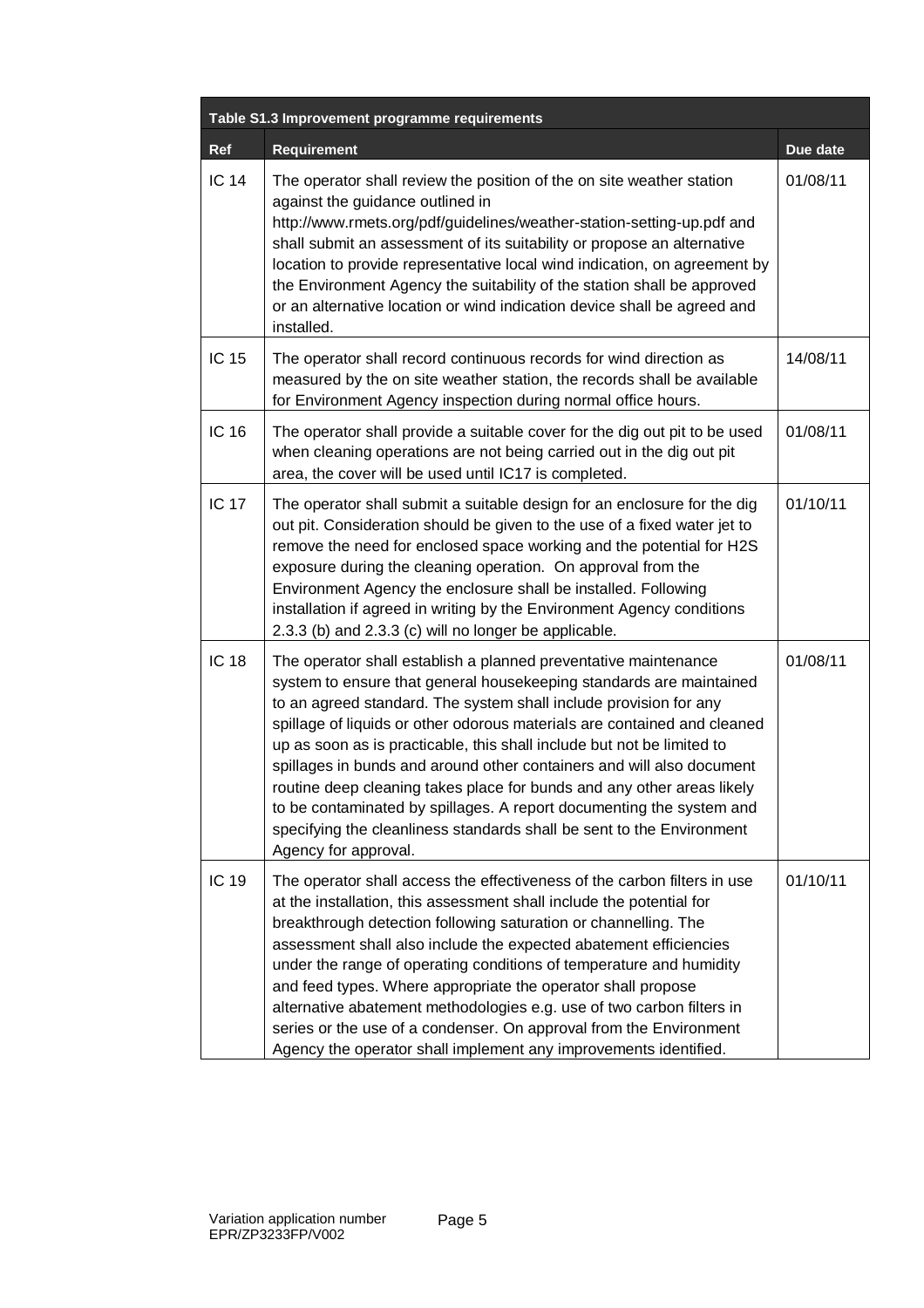| Table S1.3 Improvement programme requirements |                                                                                                                                                                                                                                                                                                                                                                                                                                                                                                                                                                                                                                                                                               |          |  |
|-----------------------------------------------|-----------------------------------------------------------------------------------------------------------------------------------------------------------------------------------------------------------------------------------------------------------------------------------------------------------------------------------------------------------------------------------------------------------------------------------------------------------------------------------------------------------------------------------------------------------------------------------------------------------------------------------------------------------------------------------------------|----------|--|
| Ref                                           | <b>Requirement</b>                                                                                                                                                                                                                                                                                                                                                                                                                                                                                                                                                                                                                                                                            | Due date |  |
| <b>IC 14</b>                                  | The operator shall review the position of the on site weather station<br>against the guidance outlined in<br>http://www.rmets.org/pdf/guidelines/weather-station-setting-up.pdf and<br>shall submit an assessment of its suitability or propose an alternative<br>location to provide representative local wind indication, on agreement by<br>the Environment Agency the suitability of the station shall be approved<br>or an alternative location or wind indication device shall be agreed and<br>installed.                                                                                                                                                                              | 01/08/11 |  |
| IC 15                                         | The operator shall record continuous records for wind direction as<br>measured by the on site weather station, the records shall be available<br>for Environment Agency inspection during normal office hours.                                                                                                                                                                                                                                                                                                                                                                                                                                                                                | 14/08/11 |  |
| IC 16                                         | The operator shall provide a suitable cover for the dig out pit to be used<br>when cleaning operations are not being carried out in the dig out pit<br>area, the cover will be used until IC17 is completed.                                                                                                                                                                                                                                                                                                                                                                                                                                                                                  | 01/08/11 |  |
| <b>IC 17</b>                                  | The operator shall submit a suitable design for an enclosure for the dig<br>out pit. Consideration should be given to the use of a fixed water jet to<br>remove the need for enclosed space working and the potential for H2S<br>exposure during the cleaning operation. On approval from the<br>Environment Agency the enclosure shall be installed. Following<br>installation if agreed in writing by the Environment Agency conditions<br>2.3.3 (b) and 2.3.3 (c) will no longer be applicable.                                                                                                                                                                                            | 01/10/11 |  |
| <b>IC 18</b>                                  | The operator shall establish a planned preventative maintenance<br>system to ensure that general housekeeping standards are maintained<br>to an agreed standard. The system shall include provision for any<br>spillage of liquids or other odorous materials are contained and cleaned<br>up as soon as is practicable, this shall include but not be limited to<br>spillages in bunds and around other containers and will also document<br>routine deep cleaning takes place for bunds and any other areas likely<br>to be contaminated by spillages. A report documenting the system and<br>specifying the cleanliness standards shall be sent to the Environment<br>Agency for approval. | 01/08/11 |  |
| IC 19                                         | The operator shall access the effectiveness of the carbon filters in use<br>at the installation, this assessment shall include the potential for<br>breakthrough detection following saturation or channelling. The<br>assessment shall also include the expected abatement efficiencies<br>under the range of operating conditions of temperature and humidity<br>and feed types. Where appropriate the operator shall propose<br>alternative abatement methodologies e.g. use of two carbon filters in<br>series or the use of a condenser. On approval from the Environment<br>Agency the operator shall implement any improvements identified.                                            | 01/10/11 |  |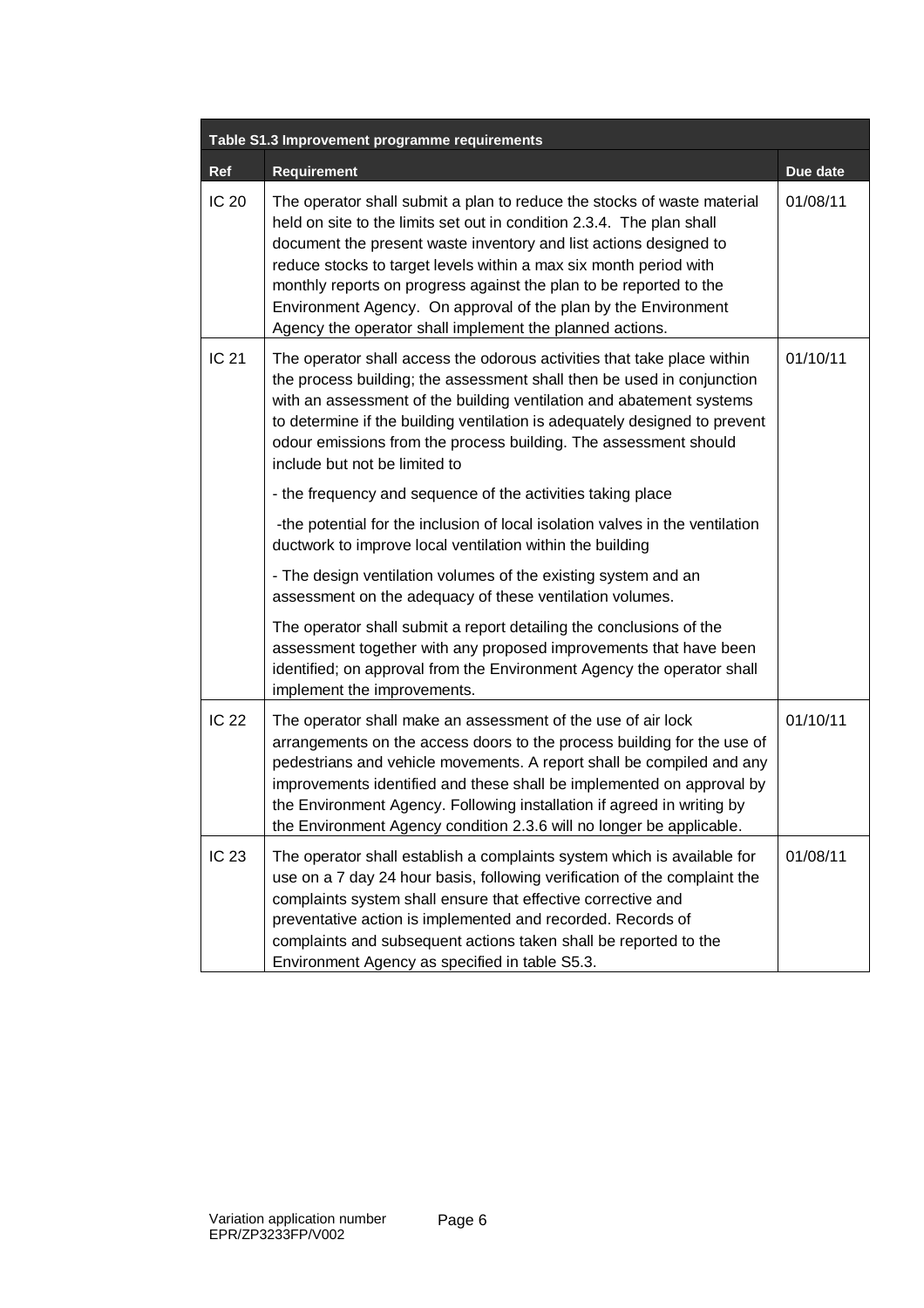|              | Table S1.3 Improvement programme requirements                                                                                                                                                                                                                                                                                                                                                                                                                                                  |          |  |  |
|--------------|------------------------------------------------------------------------------------------------------------------------------------------------------------------------------------------------------------------------------------------------------------------------------------------------------------------------------------------------------------------------------------------------------------------------------------------------------------------------------------------------|----------|--|--|
| Ref          | <b>Requirement</b>                                                                                                                                                                                                                                                                                                                                                                                                                                                                             | Due date |  |  |
| <b>IC 20</b> | The operator shall submit a plan to reduce the stocks of waste material<br>held on site to the limits set out in condition 2.3.4. The plan shall<br>document the present waste inventory and list actions designed to<br>reduce stocks to target levels within a max six month period with<br>monthly reports on progress against the plan to be reported to the<br>Environment Agency. On approval of the plan by the Environment<br>Agency the operator shall implement the planned actions. | 01/08/11 |  |  |
| IC 21        | The operator shall access the odorous activities that take place within<br>the process building; the assessment shall then be used in conjunction<br>with an assessment of the building ventilation and abatement systems<br>to determine if the building ventilation is adequately designed to prevent<br>odour emissions from the process building. The assessment should<br>include but not be limited to                                                                                   | 01/10/11 |  |  |
|              | - the frequency and sequence of the activities taking place                                                                                                                                                                                                                                                                                                                                                                                                                                    |          |  |  |
|              | -the potential for the inclusion of local isolation valves in the ventilation<br>ductwork to improve local ventilation within the building                                                                                                                                                                                                                                                                                                                                                     |          |  |  |
|              | - The design ventilation volumes of the existing system and an<br>assessment on the adequacy of these ventilation volumes.                                                                                                                                                                                                                                                                                                                                                                     |          |  |  |
|              | The operator shall submit a report detailing the conclusions of the<br>assessment together with any proposed improvements that have been<br>identified; on approval from the Environment Agency the operator shall<br>implement the improvements.                                                                                                                                                                                                                                              |          |  |  |
| <b>IC 22</b> | The operator shall make an assessment of the use of air lock<br>arrangements on the access doors to the process building for the use of<br>pedestrians and vehicle movements. A report shall be compiled and any<br>improvements identified and these shall be implemented on approval by<br>the Environment Agency. Following installation if agreed in writing by<br>the Environment Agency condition 2.3.6 will no longer be applicable.                                                    | 01/10/11 |  |  |
| IC 23        | The operator shall establish a complaints system which is available for<br>use on a 7 day 24 hour basis, following verification of the complaint the<br>complaints system shall ensure that effective corrective and<br>preventative action is implemented and recorded. Records of<br>complaints and subsequent actions taken shall be reported to the<br>Environment Agency as specified in table S5.3.                                                                                      | 01/08/11 |  |  |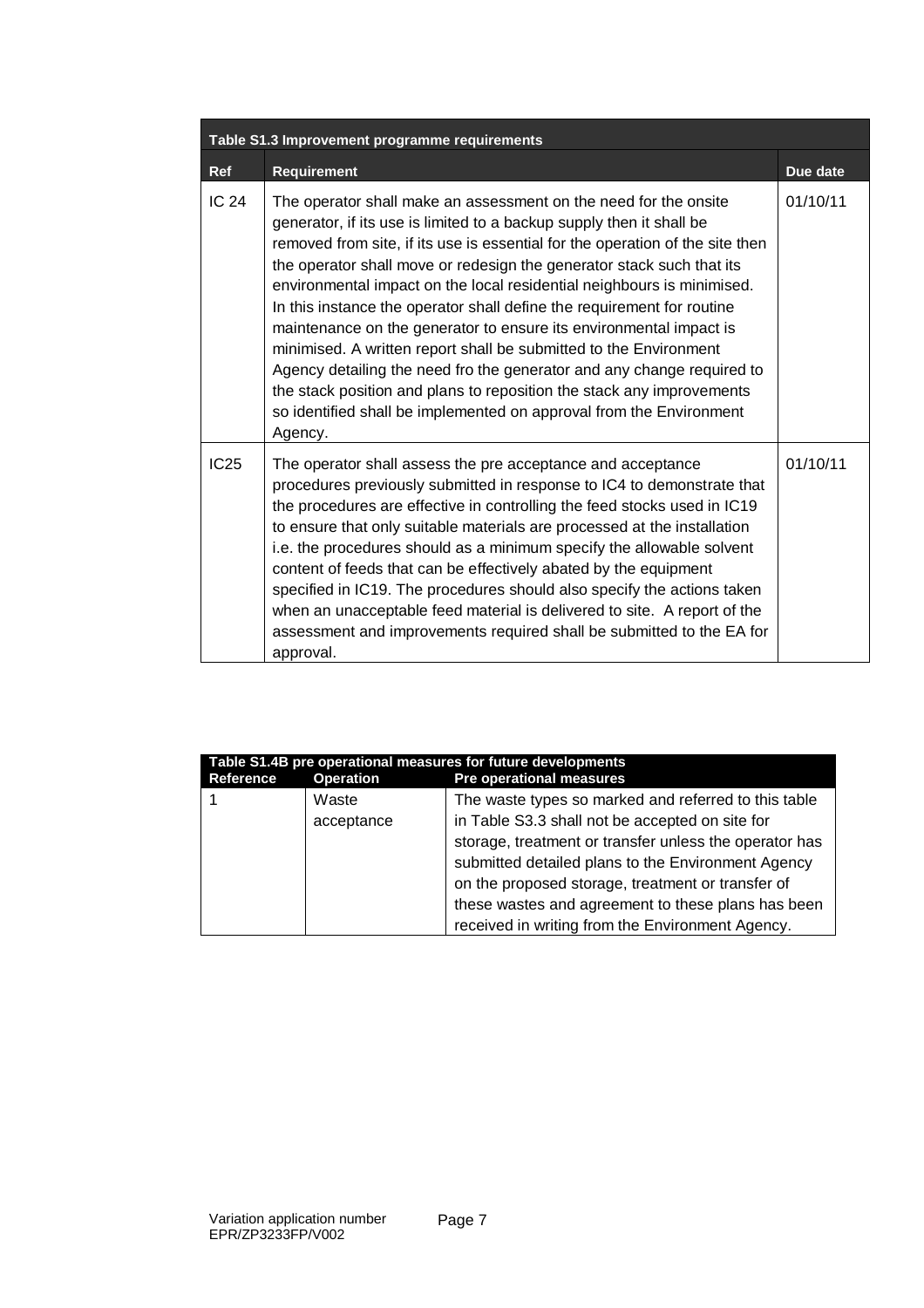| Table S1.3 Improvement programme requirements |                                                                                                                                                                                                                                                                                                                                                                                                                                                                                                                                                                                                                                                                                                                                                                                                                                        |          |  |
|-----------------------------------------------|----------------------------------------------------------------------------------------------------------------------------------------------------------------------------------------------------------------------------------------------------------------------------------------------------------------------------------------------------------------------------------------------------------------------------------------------------------------------------------------------------------------------------------------------------------------------------------------------------------------------------------------------------------------------------------------------------------------------------------------------------------------------------------------------------------------------------------------|----------|--|
| <b>Ref</b>                                    | <b>Requirement</b>                                                                                                                                                                                                                                                                                                                                                                                                                                                                                                                                                                                                                                                                                                                                                                                                                     | Due date |  |
| <b>IC 24</b>                                  | The operator shall make an assessment on the need for the onsite<br>generator, if its use is limited to a backup supply then it shall be<br>removed from site, if its use is essential for the operation of the site then<br>the operator shall move or redesign the generator stack such that its<br>environmental impact on the local residential neighbours is minimised.<br>In this instance the operator shall define the requirement for routine<br>maintenance on the generator to ensure its environmental impact is<br>minimised. A written report shall be submitted to the Environment<br>Agency detailing the need fro the generator and any change required to<br>the stack position and plans to reposition the stack any improvements<br>so identified shall be implemented on approval from the Environment<br>Agency. | 01/10/11 |  |
| IC25                                          | The operator shall assess the pre acceptance and acceptance<br>procedures previously submitted in response to IC4 to demonstrate that<br>the procedures are effective in controlling the feed stocks used in IC19<br>to ensure that only suitable materials are processed at the installation<br>i.e. the procedures should as a minimum specify the allowable solvent<br>content of feeds that can be effectively abated by the equipment<br>specified in IC19. The procedures should also specify the actions taken<br>when an unacceptable feed material is delivered to site. A report of the<br>assessment and improvements required shall be submitted to the EA for<br>approval.                                                                                                                                                | 01/10/11 |  |

| Table S1.4B pre operational measures for future developments |                     |                                                                                                                                                                                                                                                                                                                                                                                        |  |  |
|--------------------------------------------------------------|---------------------|----------------------------------------------------------------------------------------------------------------------------------------------------------------------------------------------------------------------------------------------------------------------------------------------------------------------------------------------------------------------------------------|--|--|
| <b>Reference</b>                                             | <b>Operation</b>    | <b>Pre operational measures</b>                                                                                                                                                                                                                                                                                                                                                        |  |  |
|                                                              | Waste<br>acceptance | The waste types so marked and referred to this table<br>in Table S3.3 shall not be accepted on site for<br>storage, treatment or transfer unless the operator has<br>submitted detailed plans to the Environment Agency<br>on the proposed storage, treatment or transfer of<br>these wastes and agreement to these plans has been<br>received in writing from the Environment Agency. |  |  |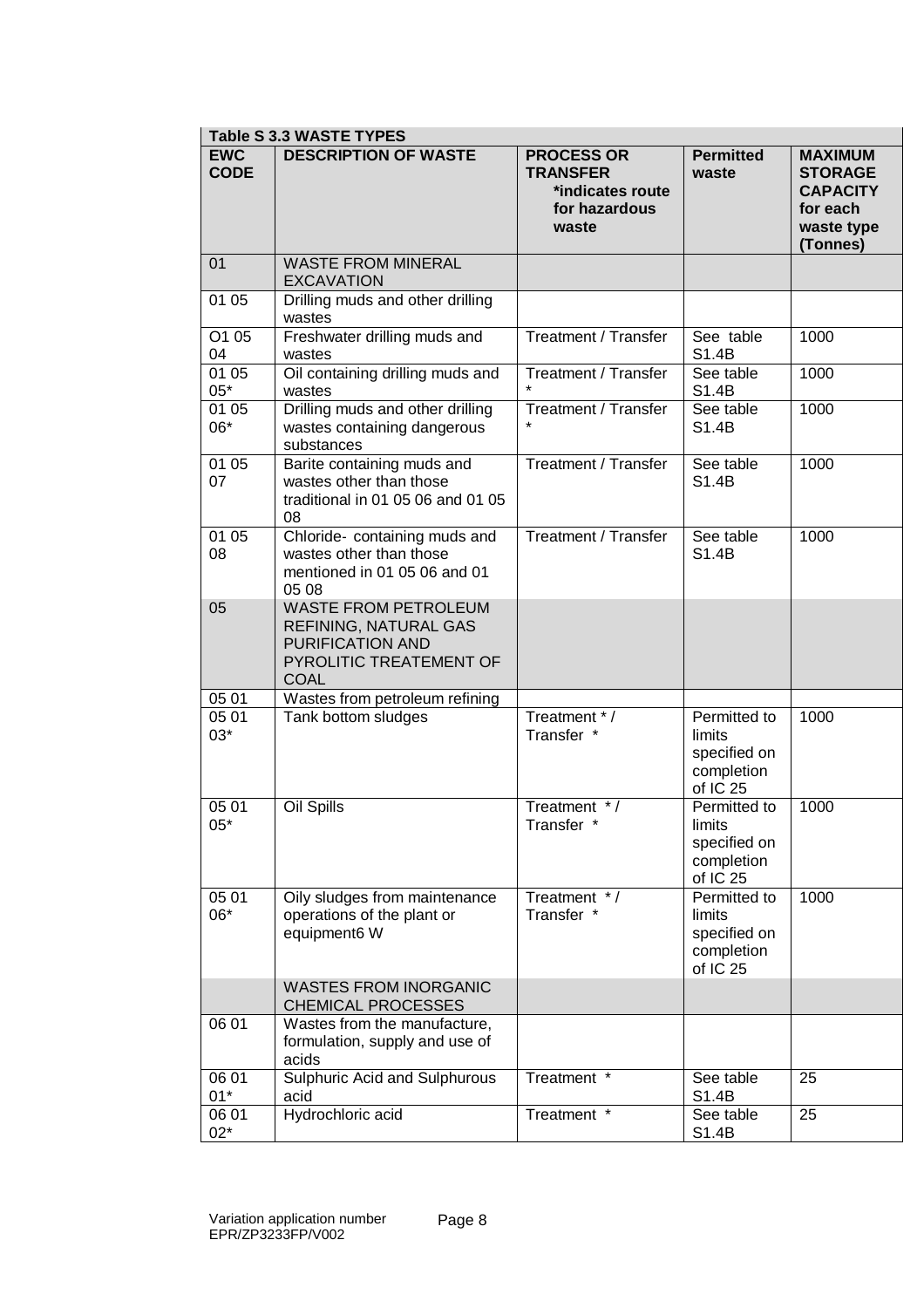|                           | <b>Table S 3.3 WASTE TYPES</b>                                                                                            |                                                                                    |                                                                             |                                                                                           |
|---------------------------|---------------------------------------------------------------------------------------------------------------------------|------------------------------------------------------------------------------------|-----------------------------------------------------------------------------|-------------------------------------------------------------------------------------------|
| <b>EWC</b><br><b>CODE</b> | <b>DESCRIPTION OF WASTE</b>                                                                                               | <b>PROCESS OR</b><br><b>TRANSFER</b><br>*indicates route<br>for hazardous<br>waste | <b>Permitted</b><br>waste                                                   | <b>MAXIMUM</b><br><b>STORAGE</b><br><b>CAPACITY</b><br>for each<br>waste type<br>(Tonnes) |
| 01                        | <b>WASTE FROM MINERAL</b><br><b>EXCAVATION</b>                                                                            |                                                                                    |                                                                             |                                                                                           |
| 01 05                     | Drilling muds and other drilling<br>wastes                                                                                |                                                                                    |                                                                             |                                                                                           |
| O1 05<br>04               | Freshwater drilling muds and<br>wastes                                                                                    | <b>Treatment / Transfer</b>                                                        | See table<br>S1.4B                                                          | 1000                                                                                      |
| 01 05<br>$05*$            | Oil containing drilling muds and<br>wastes                                                                                | <b>Treatment / Transfer</b>                                                        | See table<br>S1.4B                                                          | 1000                                                                                      |
| 01 05<br>06*              | Drilling muds and other drilling<br>wastes containing dangerous<br>substances                                             | Treatment / Transfer                                                               | See table<br>S1.4B                                                          | 1000                                                                                      |
| 01 05<br>07               | Barite containing muds and<br>wastes other than those<br>traditional in 01 05 06 and 01 05<br>08                          | <b>Treatment / Transfer</b>                                                        | See table<br>S1.4B                                                          | 1000                                                                                      |
| 01 05<br>08               | Chloride- containing muds and<br>wastes other than those<br>mentioned in 01 05 06 and 01<br>05 08                         | Treatment / Transfer                                                               | See table<br>S1.4B                                                          | 1000                                                                                      |
| 05                        | <b>WASTE FROM PETROLEUM</b><br>REFINING, NATURAL GAS<br><b>PURIFICATION AND</b><br>PYROLITIC TREATEMENT OF<br><b>COAL</b> |                                                                                    |                                                                             |                                                                                           |
| 05 01                     | Wastes from petroleum refining                                                                                            |                                                                                    |                                                                             |                                                                                           |
| 05 01<br>$03*$            | Tank bottom sludges                                                                                                       | Treatment */<br>Transfer *                                                         | Permitted to<br>limits<br>specified on<br>completion<br>of IC <sub>25</sub> | 1000                                                                                      |
| 05 01<br>$05*$            | Oil Spills                                                                                                                | Treatment $*$ /<br>Transfer *                                                      | Permitted to<br>limits<br>specified on<br>completion<br>of IC 25            | 1000                                                                                      |
| 05 01<br>06*              | Oily sludges from maintenance<br>operations of the plant or<br>equipment6 W                                               | Treatment */<br>Transfer *                                                         | Permitted to<br>limits<br>specified on<br>completion<br>of IC 25            | 1000                                                                                      |
|                           | <b>WASTES FROM INORGANIC</b><br><b>CHEMICAL PROCESSES</b>                                                                 |                                                                                    |                                                                             |                                                                                           |
| 06 01                     | Wastes from the manufacture,<br>formulation, supply and use of<br>acids                                                   |                                                                                    |                                                                             |                                                                                           |
| 06 01<br>$01*$            | <b>Sulphuric Acid and Sulphurous</b><br>acid                                                                              | Treatment *                                                                        | See table<br>S1.4B                                                          | 25                                                                                        |
| 06 01<br>$02*$            | Hydrochloric acid                                                                                                         | Treatment *                                                                        | See table<br>S1.4B                                                          | 25                                                                                        |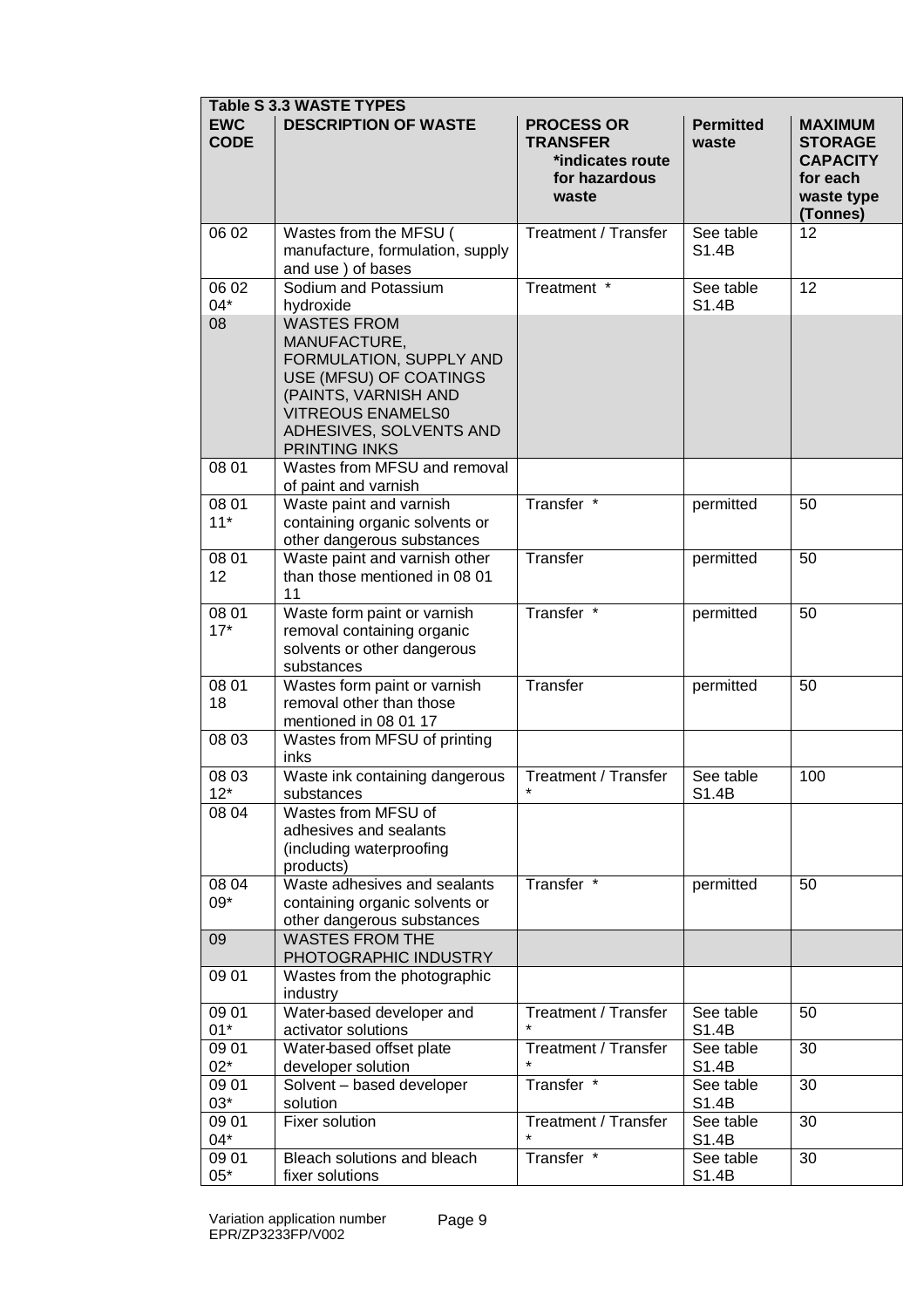| <b>Table S 3.3 WASTE TYPES</b> |                                                                                                                                                                                                |                                                                                    |                           |                                                                                           |
|--------------------------------|------------------------------------------------------------------------------------------------------------------------------------------------------------------------------------------------|------------------------------------------------------------------------------------|---------------------------|-------------------------------------------------------------------------------------------|
| <b>EWC</b><br><b>CODE</b>      | <b>DESCRIPTION OF WASTE</b>                                                                                                                                                                    | <b>PROCESS OR</b><br><b>TRANSFER</b><br>*indicates route<br>for hazardous<br>waste | <b>Permitted</b><br>waste | <b>MAXIMUM</b><br><b>STORAGE</b><br><b>CAPACITY</b><br>for each<br>waste type<br>(Tonnes) |
| 06 02                          | Wastes from the MFSU (<br>manufacture, formulation, supply<br>and use ) of bases                                                                                                               | Treatment / Transfer                                                               | See table<br>S1.4B        | 12                                                                                        |
| 06 02<br>04*                   | Sodium and Potassium<br>hydroxide                                                                                                                                                              | Treatment *                                                                        | See table<br>S1.4B        | 12                                                                                        |
| 08                             | <b>WASTES FROM</b><br>MANUFACTURE,<br>FORMULATION, SUPPLY AND<br>USE (MFSU) OF COATINGS<br>(PAINTS, VARNISH AND<br><b>VITREOUS ENAMELS0</b><br>ADHESIVES, SOLVENTS AND<br><b>PRINTING INKS</b> |                                                                                    |                           |                                                                                           |
| 08 01                          | Wastes from MFSU and removal<br>of paint and varnish                                                                                                                                           |                                                                                    |                           |                                                                                           |
| 08 01<br>$11*$                 | Waste paint and varnish<br>containing organic solvents or<br>other dangerous substances                                                                                                        | Transfer <sup>*</sup>                                                              | permitted                 | 50                                                                                        |
| 08 01<br>12                    | Waste paint and varnish other<br>than those mentioned in 08 01<br>11                                                                                                                           | Transfer                                                                           | permitted                 | 50                                                                                        |
| 08 01<br>$17*$                 | Waste form paint or varnish<br>removal containing organic<br>solvents or other dangerous<br>substances                                                                                         | Transfer <sup>*</sup>                                                              | permitted                 | 50                                                                                        |
| 08 01<br>18                    | Wastes form paint or varnish<br>removal other than those<br>mentioned in 08 01 17                                                                                                              | Transfer                                                                           | permitted                 | 50                                                                                        |
| 08 03                          | Wastes from MFSU of printing<br>inks                                                                                                                                                           |                                                                                    |                           |                                                                                           |
| 08 03<br>$12*$                 | Waste ink containing dangerous<br>substances                                                                                                                                                   | <b>Treatment / Transfer</b>                                                        | See table<br>S1.4B        | 100                                                                                       |
| 08 04                          | Wastes from MFSU of<br>adhesives and sealants<br>(including waterproofing<br>products)                                                                                                         |                                                                                    |                           |                                                                                           |
| 08 04<br>$09*$                 | Waste adhesives and sealants<br>containing organic solvents or<br>other dangerous substances                                                                                                   | Transfer *                                                                         | permitted                 | 50                                                                                        |
| 09                             | <b>WASTES FROM THE</b><br>PHOTOGRAPHIC INDUSTRY                                                                                                                                                |                                                                                    |                           |                                                                                           |
| 09 01                          | Wastes from the photographic<br>industry                                                                                                                                                       |                                                                                    |                           |                                                                                           |
| 09 01<br>$01*$                 | Water-based developer and<br>activator solutions                                                                                                                                               | <b>Treatment / Transfer</b>                                                        | See table<br>S1.4B        | 50                                                                                        |
| 09 01<br>$02*$                 | Water-based offset plate<br>developer solution                                                                                                                                                 | <b>Treatment / Transfer</b>                                                        | See table<br>S1.4B        | 30                                                                                        |
| 09 01<br>$03*$                 | Solvent - based developer<br>solution                                                                                                                                                          | Transfer *                                                                         | See table<br>S1.4B        | 30                                                                                        |
| 09 01<br>04*                   | Fixer solution                                                                                                                                                                                 | <b>Treatment / Transfer</b>                                                        | See table<br>S1.4B        | 30                                                                                        |
| 09 01<br>$05*$                 | Bleach solutions and bleach<br>fixer solutions                                                                                                                                                 | Transfer *                                                                         | See table<br>S1.4B        | 30                                                                                        |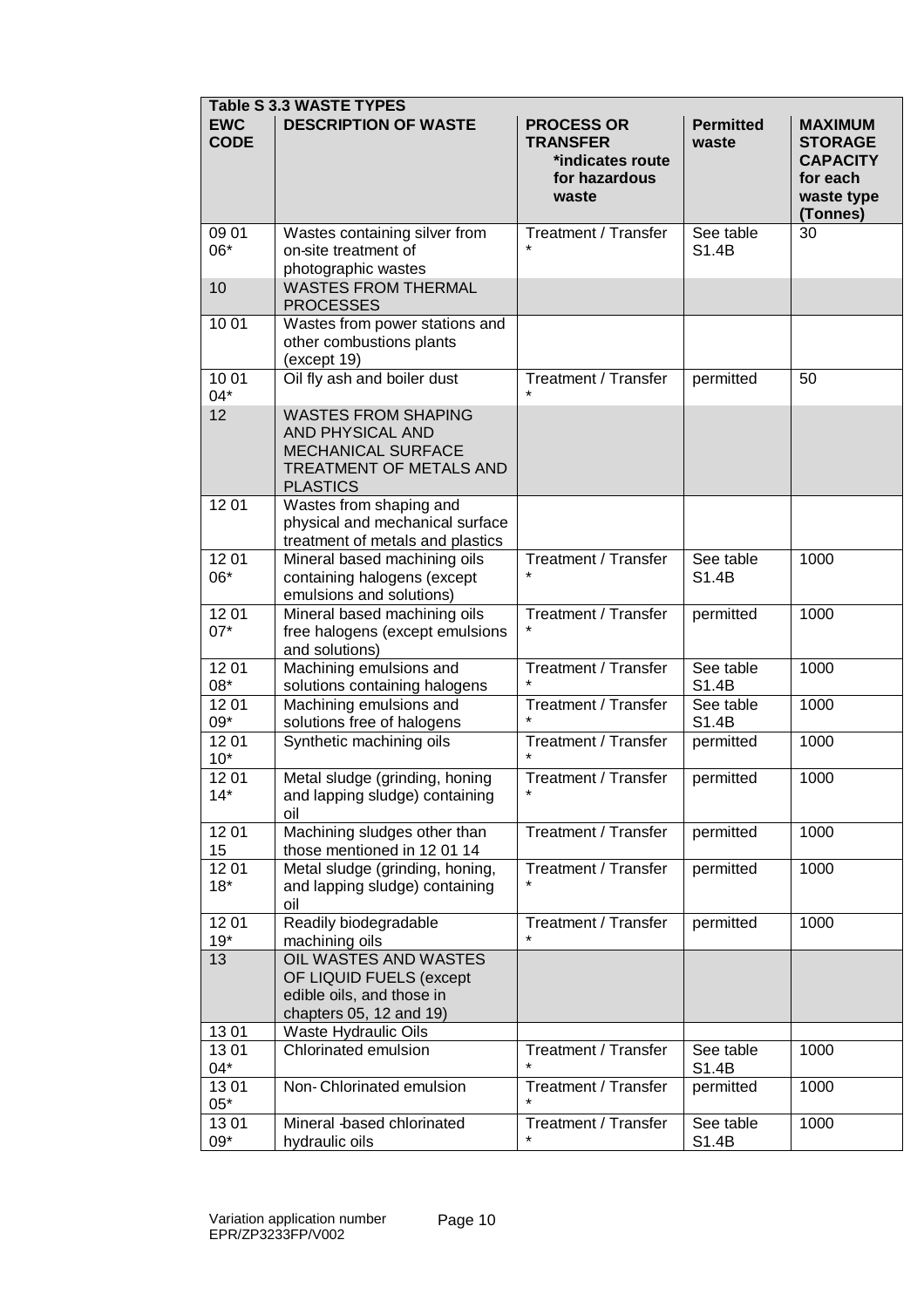|                           | <b>Table S 3.3 WASTE TYPES</b>                                                                                            |                                                                                    |                           |                                                                                           |
|---------------------------|---------------------------------------------------------------------------------------------------------------------------|------------------------------------------------------------------------------------|---------------------------|-------------------------------------------------------------------------------------------|
| <b>EWC</b><br><b>CODE</b> | <b>DESCRIPTION OF WASTE</b>                                                                                               | <b>PROCESS OR</b><br><b>TRANSFER</b><br>*indicates route<br>for hazardous<br>waste | <b>Permitted</b><br>waste | <b>MAXIMUM</b><br><b>STORAGE</b><br><b>CAPACITY</b><br>for each<br>waste type<br>(Tonnes) |
| 09 01<br>06*              | Wastes containing silver from<br>on-site treatment of<br>photographic wastes                                              | Treatment / Transfer                                                               | See table<br>S1.4B        | 30                                                                                        |
| 10                        | <b>WASTES FROM THERMAL</b><br><b>PROCESSES</b>                                                                            |                                                                                    |                           |                                                                                           |
| 10 01                     | Wastes from power stations and<br>other combustions plants<br>(except 19)                                                 |                                                                                    |                           |                                                                                           |
| 10 01<br>$04*$            | Oil fly ash and boiler dust                                                                                               | <b>Treatment / Transfer</b>                                                        | permitted                 | 50                                                                                        |
| 12                        | <b>WASTES FROM SHAPING</b><br>AND PHYSICAL AND<br><b>MECHANICAL SURFACE</b><br>TREATMENT OF METALS AND<br><b>PLASTICS</b> |                                                                                    |                           |                                                                                           |
| 1201                      | Wastes from shaping and<br>physical and mechanical surface<br>treatment of metals and plastics                            |                                                                                    |                           |                                                                                           |
| 1201<br>06*               | Mineral based machining oils<br>containing halogens (except<br>emulsions and solutions)                                   | Treatment / Transfer                                                               | See table<br>S1.4B        | 1000                                                                                      |
| 12 01<br>$07*$            | Mineral based machining oils<br>free halogens (except emulsions<br>and solutions)                                         | <b>Treatment / Transfer</b>                                                        | permitted                 | 1000                                                                                      |
| 1201<br>08*               | Machining emulsions and<br>solutions containing halogens                                                                  | Treatment / Transfer                                                               | See table<br>S1.4B        | 1000                                                                                      |
| 12 01<br>$09*$            | Machining emulsions and<br>solutions free of halogens                                                                     | <b>Treatment / Transfer</b>                                                        | See table<br>S1.4B        | 1000                                                                                      |
| 1201<br>$10*$             | Synthetic machining oils                                                                                                  | <b>Treatment / Transfer</b>                                                        | permitted                 | 1000                                                                                      |
| 1201<br>14*               | Metal sludge (grinding, honing<br>and lapping sludge) containing<br>oil                                                   | <b>Treatment / Transfer</b>                                                        | permitted                 | 1000                                                                                      |
| 1201<br>15                | Machining sludges other than<br>those mentioned in 12 01 14                                                               | <b>Treatment / Transfer</b>                                                        | permitted                 | 1000                                                                                      |
| 1201<br>$18*$             | Metal sludge (grinding, honing,<br>and lapping sludge) containing<br>oil                                                  | <b>Treatment / Transfer</b>                                                        | permitted                 | 1000                                                                                      |
| 1201<br>$19*$             | Readily biodegradable<br>machining oils                                                                                   | <b>Treatment / Transfer</b><br>$\star$                                             | permitted                 | 1000                                                                                      |
| 13                        | OIL WASTES AND WASTES<br>OF LIQUID FUELS (except<br>edible oils, and those in<br>chapters 05, 12 and 19)                  |                                                                                    |                           |                                                                                           |
| 1301                      | Waste Hydraulic Oils                                                                                                      |                                                                                    |                           |                                                                                           |
| 1301<br>04*               | Chlorinated emulsion                                                                                                      | <b>Treatment / Transfer</b>                                                        | See table<br>S1.4B        | 1000                                                                                      |
| 1301<br>$05*$             | Non-Chlorinated emulsion                                                                                                  | <b>Treatment / Transfer</b>                                                        | permitted                 | 1000                                                                                      |
| 1301<br>09*               | Mineral -based chlorinated<br>hydraulic oils                                                                              | <b>Treatment / Transfer</b>                                                        | See table<br>S1.4B        | 1000                                                                                      |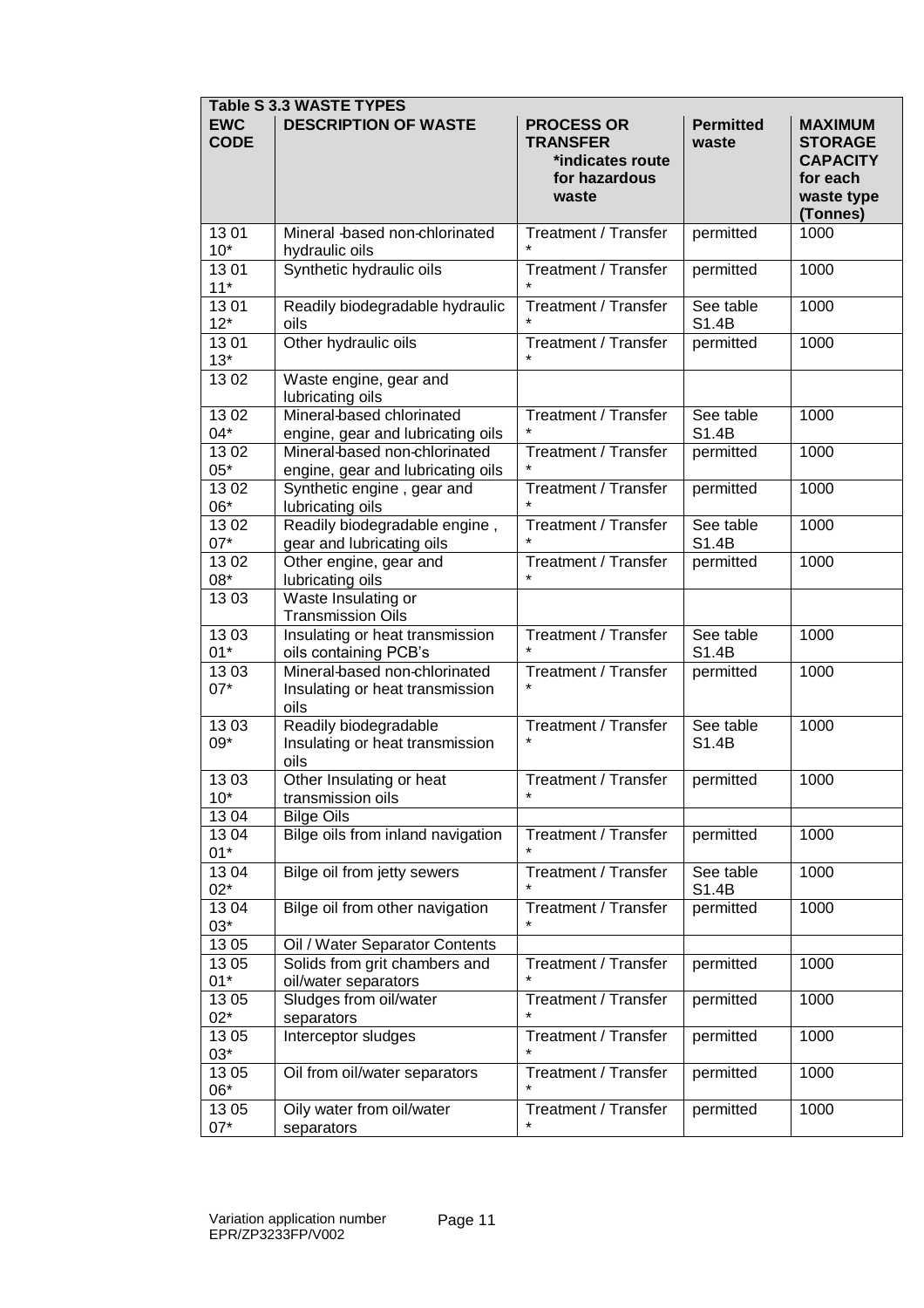|                           | <b>Table S 3.3 WASTE TYPES</b>                                           |                                                                                    |                           |                                                                                           |  |  |  |
|---------------------------|--------------------------------------------------------------------------|------------------------------------------------------------------------------------|---------------------------|-------------------------------------------------------------------------------------------|--|--|--|
| <b>EWC</b><br><b>CODE</b> | <b>DESCRIPTION OF WASTE</b>                                              | <b>PROCESS OR</b><br><b>TRANSFER</b><br>*indicates route<br>for hazardous<br>waste | <b>Permitted</b><br>waste | <b>MAXIMUM</b><br><b>STORAGE</b><br><b>CAPACITY</b><br>for each<br>waste type<br>(Tonnes) |  |  |  |
| 1301<br>$10*$             | Mineral -based non-chlorinated<br>hydraulic oils                         | <b>Treatment / Transfer</b>                                                        | permitted                 | 1000                                                                                      |  |  |  |
| 1301<br>$11*$             | Synthetic hydraulic oils                                                 | <b>Treatment / Transfer</b><br>$\star$                                             | permitted                 | 1000                                                                                      |  |  |  |
| 1301<br>$12*$             | Readily biodegradable hydraulic<br>oils                                  | Treatment / Transfer                                                               | See table<br>S1.4B        | 1000                                                                                      |  |  |  |
| 1301<br>$13*$             | Other hydraulic oils                                                     | Treatment / Transfer                                                               | permitted                 | 1000                                                                                      |  |  |  |
| 1302                      | Waste engine, gear and<br>lubricating oils                               |                                                                                    |                           |                                                                                           |  |  |  |
| 1302<br>04*               | Mineral-based chlorinated<br>engine, gear and lubricating oils           | <b>Treatment / Transfer</b>                                                        | See table<br>S1.4B        | 1000                                                                                      |  |  |  |
| 1302<br>$05*$             | Mineral-based non-chlorinated<br>engine, gear and lubricating oils       | <b>Treatment / Transfer</b>                                                        | permitted                 | 1000                                                                                      |  |  |  |
| 1302<br>06*               | Synthetic engine, gear and<br>lubricating oils                           | <b>Treatment / Transfer</b>                                                        | permitted                 | 1000                                                                                      |  |  |  |
| 1302<br>$07*$             | Readily biodegradable engine,<br>gear and lubricating oils               | <b>Treatment / Transfer</b>                                                        | See table<br>S1.4B        | 1000                                                                                      |  |  |  |
| 1302<br>$08^{\star}$      | Other engine, gear and<br>lubricating oils                               | <b>Treatment / Transfer</b><br>$\star$                                             | permitted                 | 1000                                                                                      |  |  |  |
| 1303                      | Waste Insulating or<br><b>Transmission Oils</b>                          |                                                                                    |                           |                                                                                           |  |  |  |
| 1303<br>$01*$             | Insulating or heat transmission<br>oils containing PCB's                 | <b>Treatment / Transfer</b>                                                        | See table<br>S1.4B        | 1000                                                                                      |  |  |  |
| 1303<br>$07*$             | Mineral-based non-chlorinated<br>Insulating or heat transmission<br>oils | Treatment / Transfer                                                               | permitted                 | 1000                                                                                      |  |  |  |
| 1303<br>$09*$             | Readily biodegradable<br>Insulating or heat transmission<br>oils         | Treatment / Transfer                                                               | See table<br>S1.4B        | 1000                                                                                      |  |  |  |
| 1303<br>$10^*$            | Other Insulating or heat<br>transmission oils                            | Treatment / Transfer                                                               | permitted                 | 1000                                                                                      |  |  |  |
| 1304                      | <b>Bilge Oils</b>                                                        |                                                                                    |                           |                                                                                           |  |  |  |
| 1304<br>$01*$             | Bilge oils from inland navigation                                        | <b>Treatment / Transfer</b>                                                        | permitted                 | 1000                                                                                      |  |  |  |
| 1304<br>$02*$             | Bilge oil from jetty sewers                                              | <b>Treatment / Transfer</b>                                                        | See table<br>S1.4B        | 1000                                                                                      |  |  |  |
| 1304<br>$03*$             | Bilge oil from other navigation                                          | Treatment / Transfer                                                               | permitted                 | 1000                                                                                      |  |  |  |
| 13 05                     | Oil / Water Separator Contents                                           |                                                                                    |                           |                                                                                           |  |  |  |
| 1305<br>$01*$             | Solids from grit chambers and<br>oil/water separators                    | <b>Treatment / Transfer</b>                                                        | permitted                 | 1000                                                                                      |  |  |  |
| 13 05<br>$02*$            | Sludges from oil/water<br>separators                                     | Treatment / Transfer                                                               | permitted                 | 1000                                                                                      |  |  |  |
| 13 05<br>$03*$            | Interceptor sludges                                                      | Treatment / Transfer                                                               | permitted                 | 1000                                                                                      |  |  |  |
| 13 05<br>06*              | Oil from oil/water separators                                            | <b>Treatment / Transfer</b>                                                        | permitted                 | 1000                                                                                      |  |  |  |
| 13 05<br>$07*$            | Oily water from oil/water<br>separators                                  | Treatment / Transfer                                                               | permitted                 | 1000                                                                                      |  |  |  |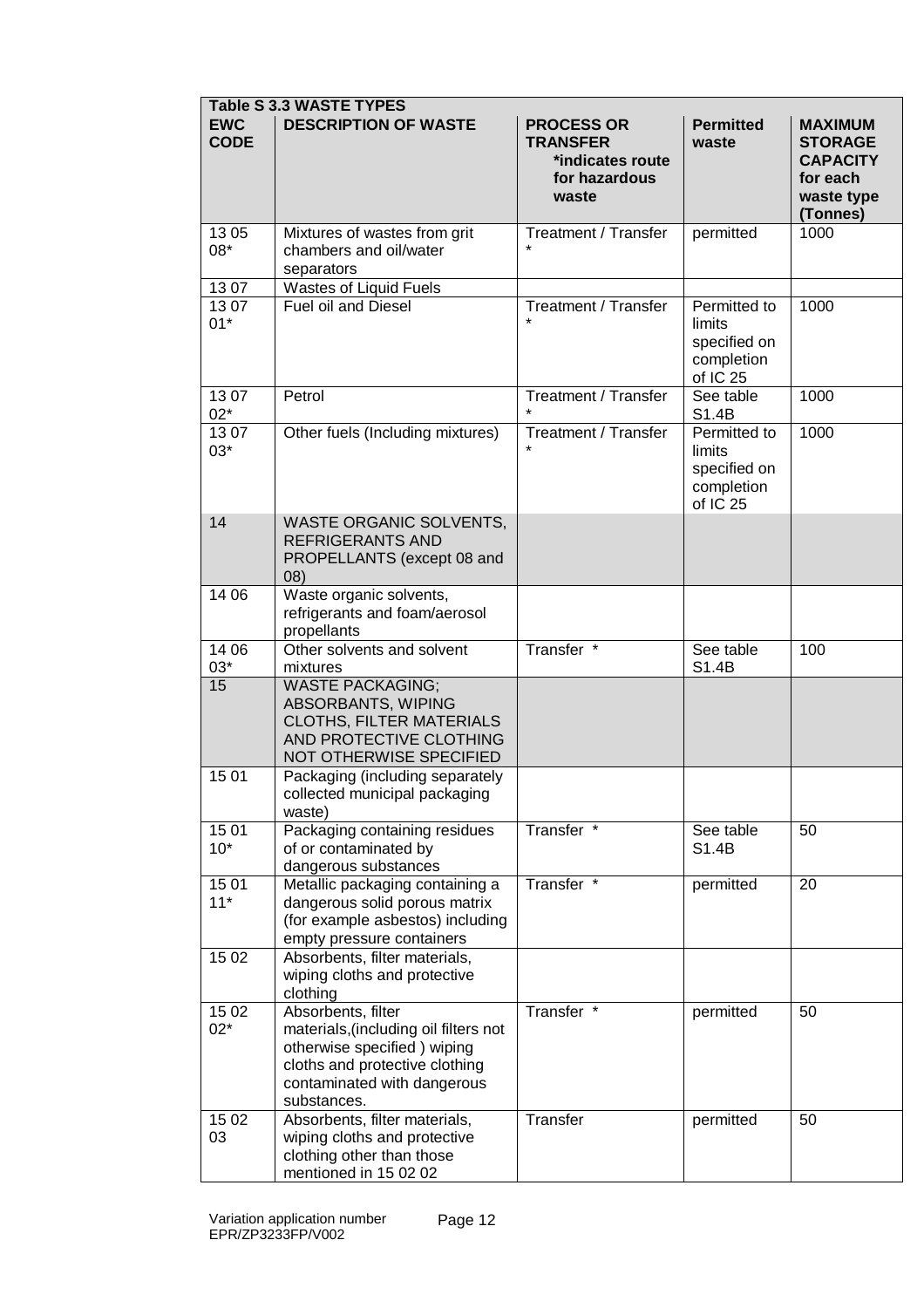|                           | <b>Table S 3.3 WASTE TYPES</b>                                                                                                                                             |                                                                                    |                                                                             |                                                                                           |  |  |  |
|---------------------------|----------------------------------------------------------------------------------------------------------------------------------------------------------------------------|------------------------------------------------------------------------------------|-----------------------------------------------------------------------------|-------------------------------------------------------------------------------------------|--|--|--|
| <b>EWC</b><br><b>CODE</b> | <b>DESCRIPTION OF WASTE</b>                                                                                                                                                | <b>PROCESS OR</b><br><b>TRANSFER</b><br>*indicates route<br>for hazardous<br>waste |                                                                             | <b>MAXIMUM</b><br><b>STORAGE</b><br><b>CAPACITY</b><br>for each<br>waste type<br>(Tonnes) |  |  |  |
| 1305<br>08*               | Mixtures of wastes from grit<br>chambers and oil/water<br>separators                                                                                                       | <b>Treatment / Transfer</b>                                                        | permitted                                                                   | 1000                                                                                      |  |  |  |
| 1307                      | Wastes of Liquid Fuels                                                                                                                                                     |                                                                                    |                                                                             |                                                                                           |  |  |  |
| 1307<br>$01*$             | <b>Fuel oil and Diesel</b>                                                                                                                                                 | Treatment / Transfer                                                               | Permitted to<br>limits<br>specified on<br>completion<br>of IC 25            | 1000                                                                                      |  |  |  |
| 1307<br>$02*$             | Petrol                                                                                                                                                                     | Treatment / Transfer                                                               | See table<br>S1.4B                                                          | 1000                                                                                      |  |  |  |
| 1307<br>$03*$             | Other fuels (Including mixtures)                                                                                                                                           | Treatment / Transfer                                                               | Permitted to<br>limits<br>specified on<br>completion<br>of IC <sub>25</sub> | 1000                                                                                      |  |  |  |
| 14                        | <b>WASTE ORGANIC SOLVENTS,</b><br><b>REFRIGERANTS AND</b><br>PROPELLANTS (except 08 and<br>(08)                                                                            |                                                                                    |                                                                             |                                                                                           |  |  |  |
| 14 06                     | Waste organic solvents,<br>refrigerants and foam/aerosol<br>propellants                                                                                                    |                                                                                    |                                                                             |                                                                                           |  |  |  |
| 14 06<br>$03*$            | Other solvents and solvent<br>mixtures                                                                                                                                     | Transfer *                                                                         | See table<br>S1.4B                                                          | 100                                                                                       |  |  |  |
| 15                        | <b>WASTE PACKAGING;</b><br>ABSORBANTS, WIPING<br>CLOTHS, FILTER MATERIALS<br>AND PROTECTIVE CLOTHING<br>NOT OTHERWISE SPECIFIED                                            |                                                                                    |                                                                             |                                                                                           |  |  |  |
| 15 01                     | Packaging (including separately<br>collected municipal packaging<br>waste)                                                                                                 |                                                                                    |                                                                             |                                                                                           |  |  |  |
| 1501<br>$10*$             | Packaging containing residues<br>of or contaminated by<br>dangerous substances                                                                                             | Transfer *                                                                         | See table<br>S1.4B                                                          | 50                                                                                        |  |  |  |
| 15 01<br>$11*$            | Metallic packaging containing a<br>dangerous solid porous matrix<br>(for example asbestos) including<br>empty pressure containers                                          | Transfer *                                                                         | permitted                                                                   | 20                                                                                        |  |  |  |
| 15 02                     | Absorbents, filter materials,<br>wiping cloths and protective<br>clothing                                                                                                  |                                                                                    |                                                                             |                                                                                           |  |  |  |
| 15 02<br>$02*$            | Absorbents, filter<br>materials, (including oil filters not<br>otherwise specified) wiping<br>cloths and protective clothing<br>contaminated with dangerous<br>substances. | Transfer *                                                                         | permitted                                                                   | 50                                                                                        |  |  |  |
| 15 02<br>03               | Absorbents, filter materials,<br>wiping cloths and protective<br>clothing other than those<br>mentioned in 15 02 02                                                        | Transfer                                                                           | permitted                                                                   | 50                                                                                        |  |  |  |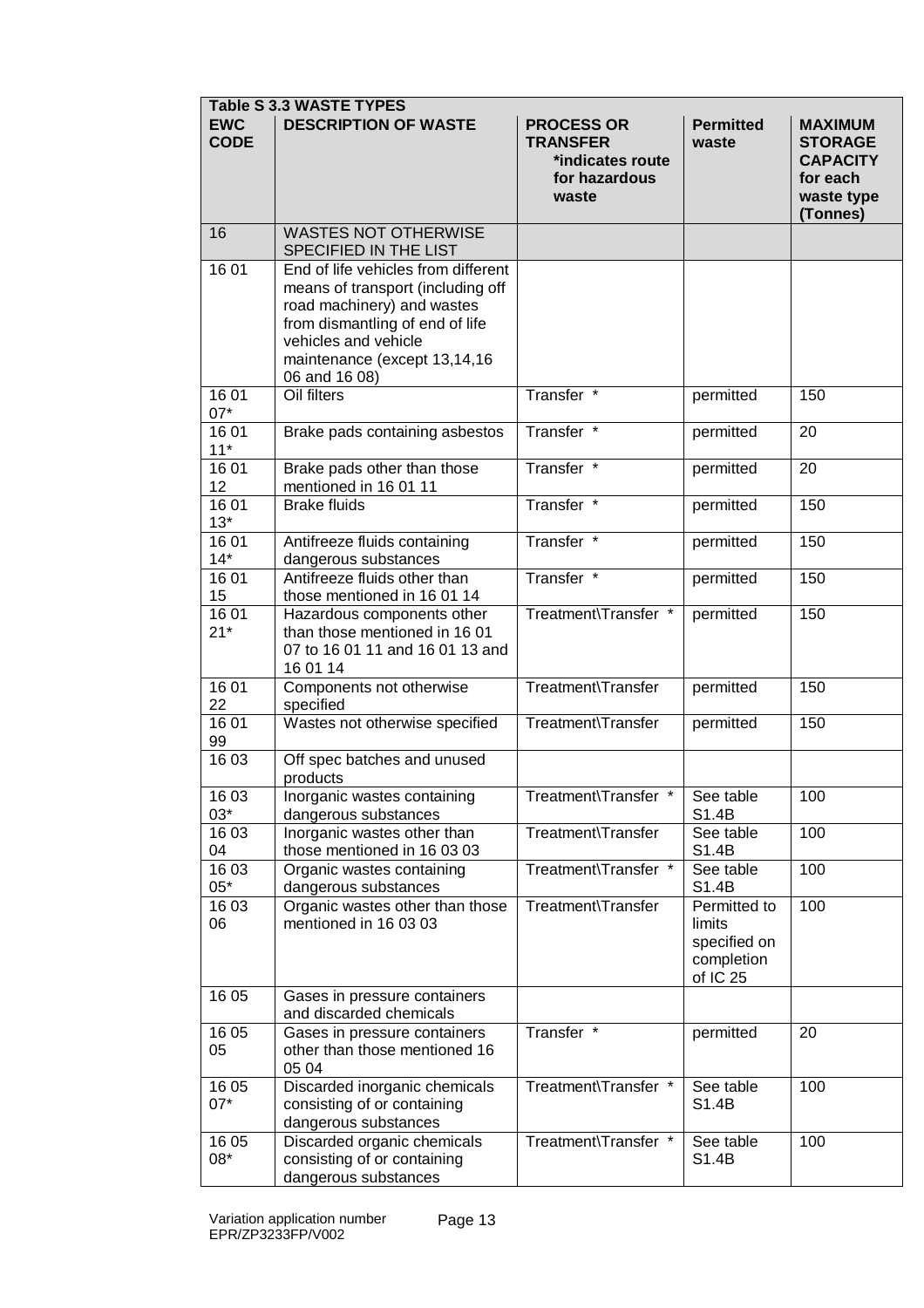| <b>Table S 3.3 WASTE TYPES</b> |                                                                                                                                                                                                                    |                                                                                    |                                                                  |                                                                                           |  |  |
|--------------------------------|--------------------------------------------------------------------------------------------------------------------------------------------------------------------------------------------------------------------|------------------------------------------------------------------------------------|------------------------------------------------------------------|-------------------------------------------------------------------------------------------|--|--|
| <b>EWC</b><br><b>CODE</b>      | <b>DESCRIPTION OF WASTE</b>                                                                                                                                                                                        | <b>PROCESS OR</b><br><b>TRANSFER</b><br>*indicates route<br>for hazardous<br>waste | <b>Permitted</b><br>waste                                        | <b>MAXIMUM</b><br><b>STORAGE</b><br><b>CAPACITY</b><br>for each<br>waste type<br>(Tonnes) |  |  |
| 16                             | <b>WASTES NOT OTHERWISE</b><br>SPECIFIED IN THE LIST                                                                                                                                                               |                                                                                    |                                                                  |                                                                                           |  |  |
| 16 01                          | End of life vehicles from different<br>means of transport (including off<br>road machinery) and wastes<br>from dismantling of end of life<br>vehicles and vehicle<br>maintenance (except 13,14,16<br>06 and 16 08) |                                                                                    |                                                                  |                                                                                           |  |  |
| 16 01<br>$07*$                 | Oil filters                                                                                                                                                                                                        | Transfer <sup>*</sup>                                                              | permitted                                                        | 150                                                                                       |  |  |
| 16 01<br>$11*$                 | Brake pads containing asbestos                                                                                                                                                                                     | Transfer *                                                                         | permitted                                                        | 20                                                                                        |  |  |
| 16 01<br>12                    | Brake pads other than those<br>mentioned in 16 01 11                                                                                                                                                               | Transfer *                                                                         | permitted                                                        | 20                                                                                        |  |  |
| 1601<br>$13*$                  | <b>Brake fluids</b>                                                                                                                                                                                                | Transfer *                                                                         | permitted                                                        | 150                                                                                       |  |  |
| 1601<br>$14*$                  | Antifreeze fluids containing<br>dangerous substances                                                                                                                                                               | Transfer *                                                                         | permitted                                                        | 150                                                                                       |  |  |
| 1601<br>15                     | Antifreeze fluids other than<br>those mentioned in 16 01 14                                                                                                                                                        | Transfer *                                                                         | permitted                                                        | 150                                                                                       |  |  |
| 16 01<br>$21*$                 | Hazardous components other<br>than those mentioned in 16 01<br>07 to 16 01 11 and 16 01 13 and<br>16 01 14                                                                                                         | Treatment\Transfer *                                                               | permitted                                                        | 150                                                                                       |  |  |
| 1601<br>22                     | Components not otherwise<br>specified                                                                                                                                                                              | Treatment\Transfer                                                                 | permitted                                                        | 150                                                                                       |  |  |
| 1601<br>99                     | Wastes not otherwise specified                                                                                                                                                                                     | Treatment\Transfer                                                                 | permitted                                                        | 150                                                                                       |  |  |
| 16 03                          | Off spec batches and unused<br>products                                                                                                                                                                            |                                                                                    |                                                                  |                                                                                           |  |  |
| 16 03<br>$03*$                 | Inorganic wastes containing<br>dangerous substances                                                                                                                                                                | Treatment\Transfer                                                                 | See table<br>S1.4B                                               | 100                                                                                       |  |  |
| 16 03<br>04                    | Inorganic wastes other than<br>those mentioned in 16 03 03                                                                                                                                                         | Treatment\Transfer                                                                 | See table<br>S1.4B                                               | 100                                                                                       |  |  |
| 16 03<br>$05*$                 | Organic wastes containing<br>dangerous substances                                                                                                                                                                  | Treatment\Transfer *                                                               | See table<br>S1.4B                                               | 100                                                                                       |  |  |
| 16 03<br>06                    | Organic wastes other than those<br>mentioned in 16 03 03                                                                                                                                                           | Treatment\Transfer                                                                 | Permitted to<br>limits<br>specified on<br>completion<br>of IC 25 | 100                                                                                       |  |  |
| 16 05                          | Gases in pressure containers<br>and discarded chemicals                                                                                                                                                            |                                                                                    |                                                                  |                                                                                           |  |  |
| 16 05<br>05                    | Gases in pressure containers<br>other than those mentioned 16<br>05 04                                                                                                                                             | Transfer *                                                                         | permitted                                                        | 20                                                                                        |  |  |
| 16 05<br>$07*$                 | Discarded inorganic chemicals<br>consisting of or containing<br>dangerous substances                                                                                                                               | Treatment\Transfer *                                                               | See table<br>S1.4B                                               | 100                                                                                       |  |  |
| 16 05<br>08*                   | Discarded organic chemicals<br>consisting of or containing<br>dangerous substances                                                                                                                                 | Treatment\Transfer *                                                               | See table<br>S1.4B                                               | 100                                                                                       |  |  |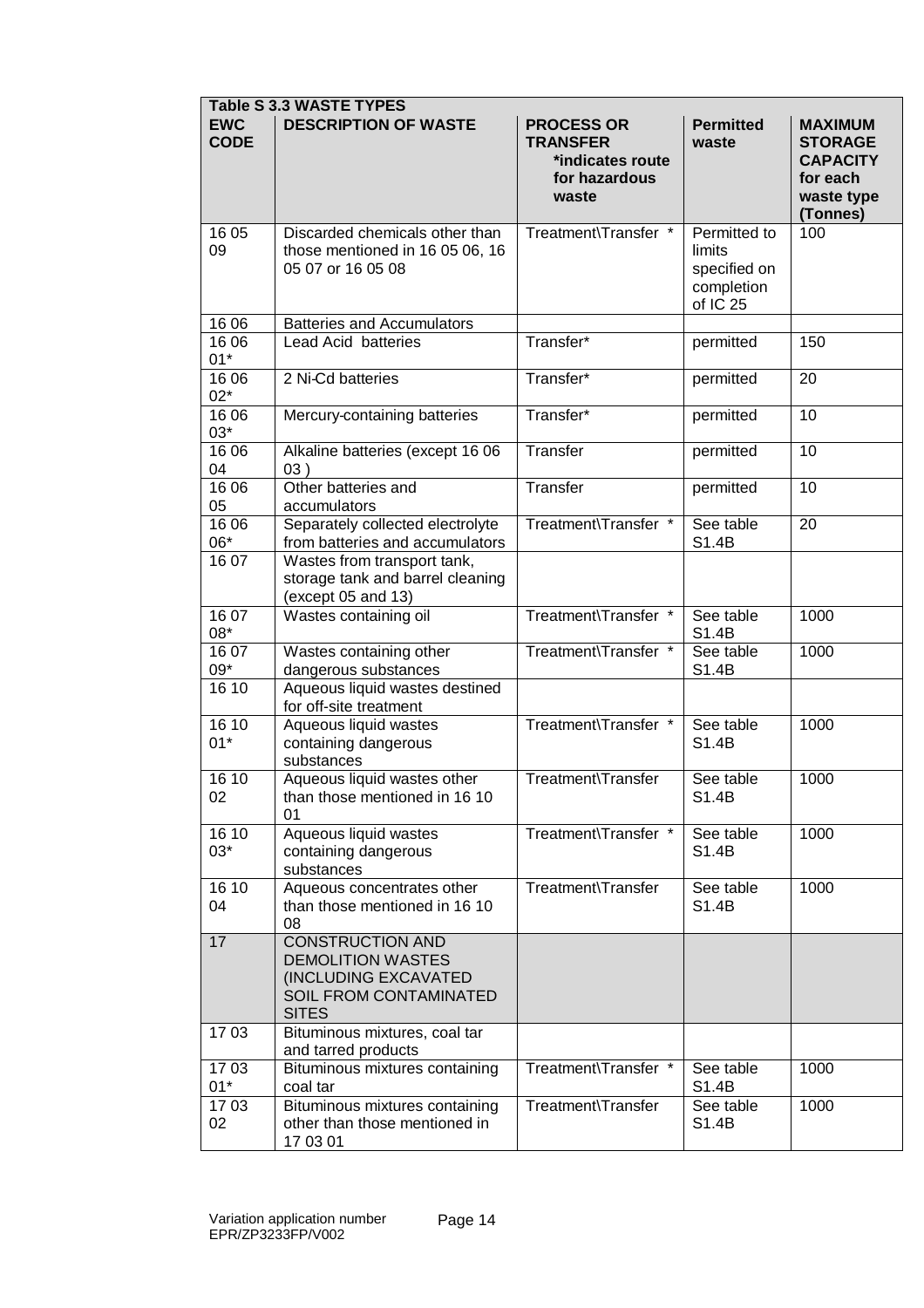|                           | <b>Table S 3.3 WASTE TYPES</b>                                                                                        |                                                                                    |                                                                  |                                                                                           |  |  |  |
|---------------------------|-----------------------------------------------------------------------------------------------------------------------|------------------------------------------------------------------------------------|------------------------------------------------------------------|-------------------------------------------------------------------------------------------|--|--|--|
| <b>EWC</b><br><b>CODE</b> | <b>DESCRIPTION OF WASTE</b>                                                                                           | <b>PROCESS OR</b><br><b>TRANSFER</b><br>*indicates route<br>for hazardous<br>waste | <b>Permitted</b><br>waste                                        | <b>MAXIMUM</b><br><b>STORAGE</b><br><b>CAPACITY</b><br>for each<br>waste type<br>(Tonnes) |  |  |  |
| 16 05<br>09               | Discarded chemicals other than<br>those mentioned in 16 05 06, 16<br>05 07 or 16 05 08                                | Treatment\Transfer *                                                               | Permitted to<br>limits<br>specified on<br>completion<br>of IC 25 | 100                                                                                       |  |  |  |
| 16 06                     | <b>Batteries and Accumulators</b>                                                                                     |                                                                                    |                                                                  |                                                                                           |  |  |  |
| 16 06<br>$01*$            | Lead Acid batteries                                                                                                   | Transfer*                                                                          | permitted                                                        | 150                                                                                       |  |  |  |
| 16 06<br>$02*$            | 2 Ni-Cd batteries                                                                                                     | Transfer*                                                                          | permitted                                                        | 20                                                                                        |  |  |  |
| 16 06<br>$03*$            | Mercury-containing batteries                                                                                          | Transfer*                                                                          | permitted                                                        | 10                                                                                        |  |  |  |
| 16 06<br>04               | Alkaline batteries (except 16 06<br>03)                                                                               | Transfer                                                                           | permitted                                                        | 10                                                                                        |  |  |  |
| 16 06<br>05               | Other batteries and<br>accumulators                                                                                   | Transfer                                                                           | permitted                                                        | 10                                                                                        |  |  |  |
| 16 06<br>06*              | Separately collected electrolyte<br>from batteries and accumulators                                                   | Treatment\Transfer *                                                               | See table<br>S1.4B                                               | 20                                                                                        |  |  |  |
| 16 07                     | Wastes from transport tank,<br>storage tank and barrel cleaning<br>(except 05 and 13)                                 |                                                                                    |                                                                  |                                                                                           |  |  |  |
| 16 07<br>08*              | Wastes containing oil                                                                                                 | Treatment\Transfer *                                                               | See table<br>S1.4B                                               | 1000                                                                                      |  |  |  |
| 16 07<br>$09*$            | Wastes containing other<br>dangerous substances                                                                       | Treatment\Transfer *                                                               | See table<br>S1.4B                                               | 1000                                                                                      |  |  |  |
| 16 10                     | Aqueous liquid wastes destined<br>for off-site treatment                                                              |                                                                                    |                                                                  |                                                                                           |  |  |  |
| 16 10<br>$01*$            | Treatment\Transfer *<br>Aqueous liquid wastes<br>containing dangerous<br>substances                                   |                                                                                    | See table<br>S1.4B                                               | 1000                                                                                      |  |  |  |
| 16 10<br>02               | Aqueous liquid wastes other<br>than those mentioned in 16 10<br>01                                                    | Treatment\Transfer                                                                 | See table<br>S1.4B                                               | 1000                                                                                      |  |  |  |
| 16 10<br>$03*$            | Aqueous liquid wastes<br>containing dangerous<br>substances                                                           | Treatment\Transfer *                                                               | See table<br>S1.4B                                               | 1000                                                                                      |  |  |  |
| 16 10<br>04               | Aqueous concentrates other<br>than those mentioned in 16 10<br>08                                                     | Treatment\Transfer                                                                 | See table<br>S1.4B                                               | 1000                                                                                      |  |  |  |
| 17                        | <b>CONSTRUCTION AND</b><br><b>DEMOLITION WASTES</b><br>(INCLUDING EXCAVATED<br>SOIL FROM CONTAMINATED<br><b>SITES</b> |                                                                                    |                                                                  |                                                                                           |  |  |  |
| 1703                      | Bituminous mixtures, coal tar<br>and tarred products                                                                  |                                                                                    |                                                                  |                                                                                           |  |  |  |
| 1703<br>$01^{\star}$      | Bituminous mixtures containing<br>coal tar                                                                            | Treatment\Transfer *                                                               | See table<br>S1.4B                                               | 1000                                                                                      |  |  |  |
| 1703<br>02                | Bituminous mixtures containing<br>other than those mentioned in<br>17 03 01                                           | Treatment\Transfer                                                                 | See table<br>S1.4B                                               | 1000                                                                                      |  |  |  |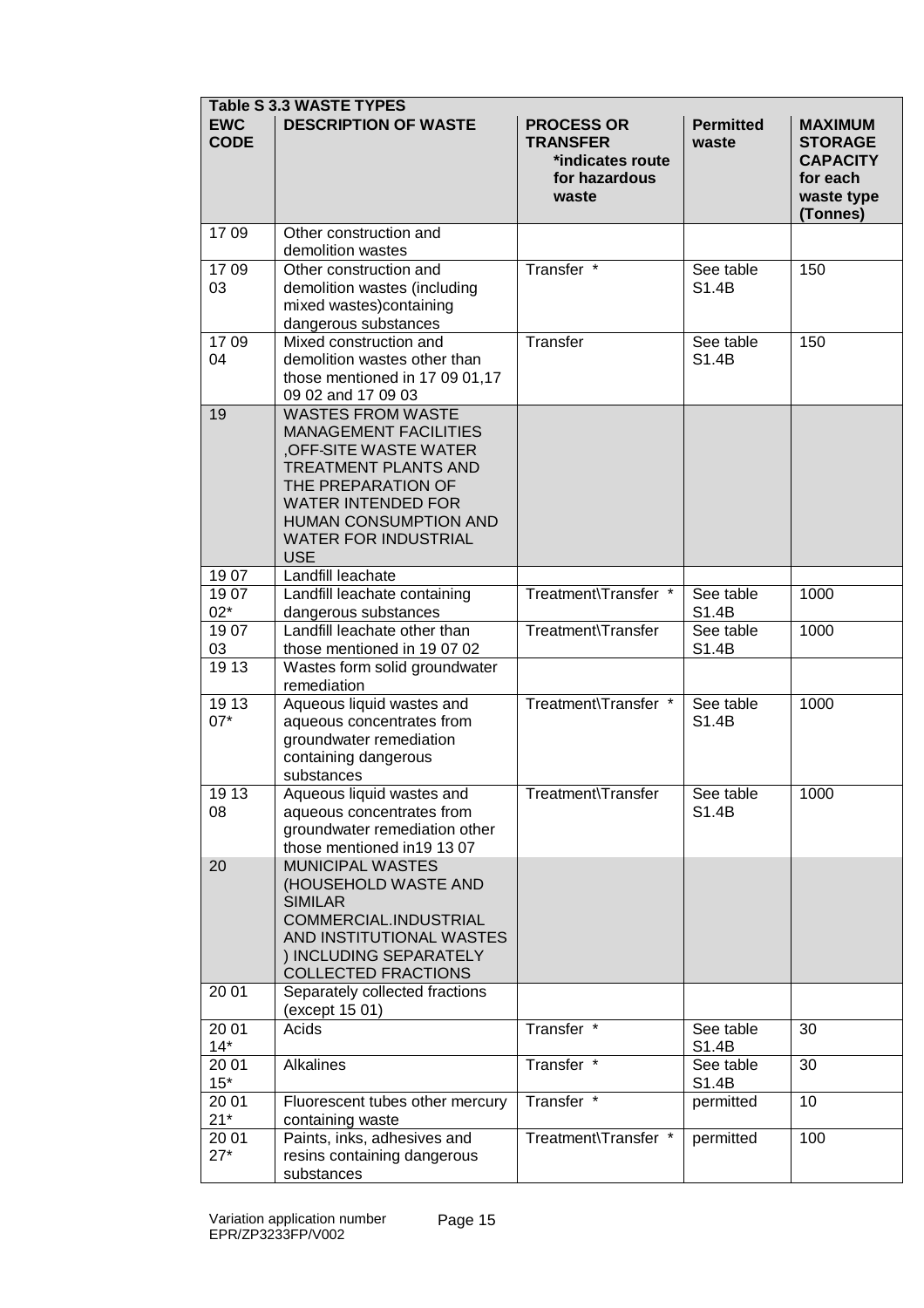| <b>Table S 3.3 WASTE TYPES</b> |                                                                                                                                                                                                                                          |                                                                                    |                           |                                                                                           |  |  |
|--------------------------------|------------------------------------------------------------------------------------------------------------------------------------------------------------------------------------------------------------------------------------------|------------------------------------------------------------------------------------|---------------------------|-------------------------------------------------------------------------------------------|--|--|
| <b>EWC</b><br><b>CODE</b>      | <b>DESCRIPTION OF WASTE</b>                                                                                                                                                                                                              | <b>PROCESS OR</b><br><b>TRANSFER</b><br>*indicates route<br>for hazardous<br>waste | <b>Permitted</b><br>waste | <b>MAXIMUM</b><br><b>STORAGE</b><br><b>CAPACITY</b><br>for each<br>waste type<br>(Tonnes) |  |  |
| 1709                           | Other construction and<br>demolition wastes                                                                                                                                                                                              |                                                                                    |                           |                                                                                           |  |  |
| 1709<br>03                     | Other construction and<br>demolition wastes (including<br>mixed wastes)containing<br>dangerous substances                                                                                                                                | Transfer *                                                                         | See table<br>S1.4B        | 150                                                                                       |  |  |
| 1709<br>04                     | Mixed construction and<br>demolition wastes other than<br>those mentioned in 17 09 01,17<br>09 02 and 17 09 03                                                                                                                           | Transfer                                                                           | See table<br>S1.4B        | 150                                                                                       |  |  |
| 19                             | <b>WASTES FROM WASTE</b><br><b>MANAGEMENT FACILITIES</b><br>OFF-SITE WASTE WATER<br><b>TREATMENT PLANTS AND</b><br>THE PREPARATION OF<br><b>WATER INTENDED FOR</b><br>HUMAN CONSUMPTION AND<br><b>WATER FOR INDUSTRIAL</b><br><b>USE</b> |                                                                                    |                           |                                                                                           |  |  |
| 1907                           | Landfill leachate                                                                                                                                                                                                                        |                                                                                    |                           |                                                                                           |  |  |
| 1907<br>$02*$                  | Landfill leachate containing<br>dangerous substances                                                                                                                                                                                     | Treatment\Transfer *                                                               | See table<br>S1.4B        | 1000                                                                                      |  |  |
| 1907<br>03                     | Landfill leachate other than<br>those mentioned in 19 07 02                                                                                                                                                                              | Treatment\Transfer                                                                 | See table<br>S1.4B        | 1000                                                                                      |  |  |
| 19 13                          | Wastes form solid groundwater<br>remediation                                                                                                                                                                                             |                                                                                    |                           |                                                                                           |  |  |
| 19 13<br>$07*$                 | Aqueous liquid wastes and<br>aqueous concentrates from<br>groundwater remediation<br>containing dangerous<br>substances                                                                                                                  | Treatment\Transfer *                                                               | See table<br>S1.4B        | 1000                                                                                      |  |  |
| 19 13<br>08                    | Aqueous liquid wastes and<br>aqueous concentrates from<br>groundwater remediation other<br>those mentioned in 19 13 07                                                                                                                   | Treatment\Transfer                                                                 | See table<br>S1.4B        | 1000                                                                                      |  |  |
| 20                             | <b>MUNICIPAL WASTES</b><br>(HOUSEHOLD WASTE AND<br><b>SIMILAR</b><br>COMMERCIAL.INDUSTRIAL<br>AND INSTITUTIONAL WASTES<br>) INCLUDING SEPARATELY<br><b>COLLECTED FRACTIONS</b>                                                           |                                                                                    |                           |                                                                                           |  |  |
| 20 01                          | Separately collected fractions<br>(except 15 01)                                                                                                                                                                                         |                                                                                    |                           |                                                                                           |  |  |
| 20 01<br>$14*$                 | Acids                                                                                                                                                                                                                                    | Transfer *                                                                         | See table<br>S1.4B        | 30                                                                                        |  |  |
| 20 01<br>$15*$                 | Alkalines                                                                                                                                                                                                                                | Transfer *                                                                         | See table<br>S1.4B        | 30                                                                                        |  |  |
| 20 01<br>$21*$                 | Fluorescent tubes other mercury<br>containing waste                                                                                                                                                                                      | Transfer *                                                                         | permitted                 | 10                                                                                        |  |  |
| 20 01<br>$27*$                 | Paints, inks, adhesives and<br>resins containing dangerous<br>substances                                                                                                                                                                 | Treatment\Transfer *                                                               | permitted                 | 100                                                                                       |  |  |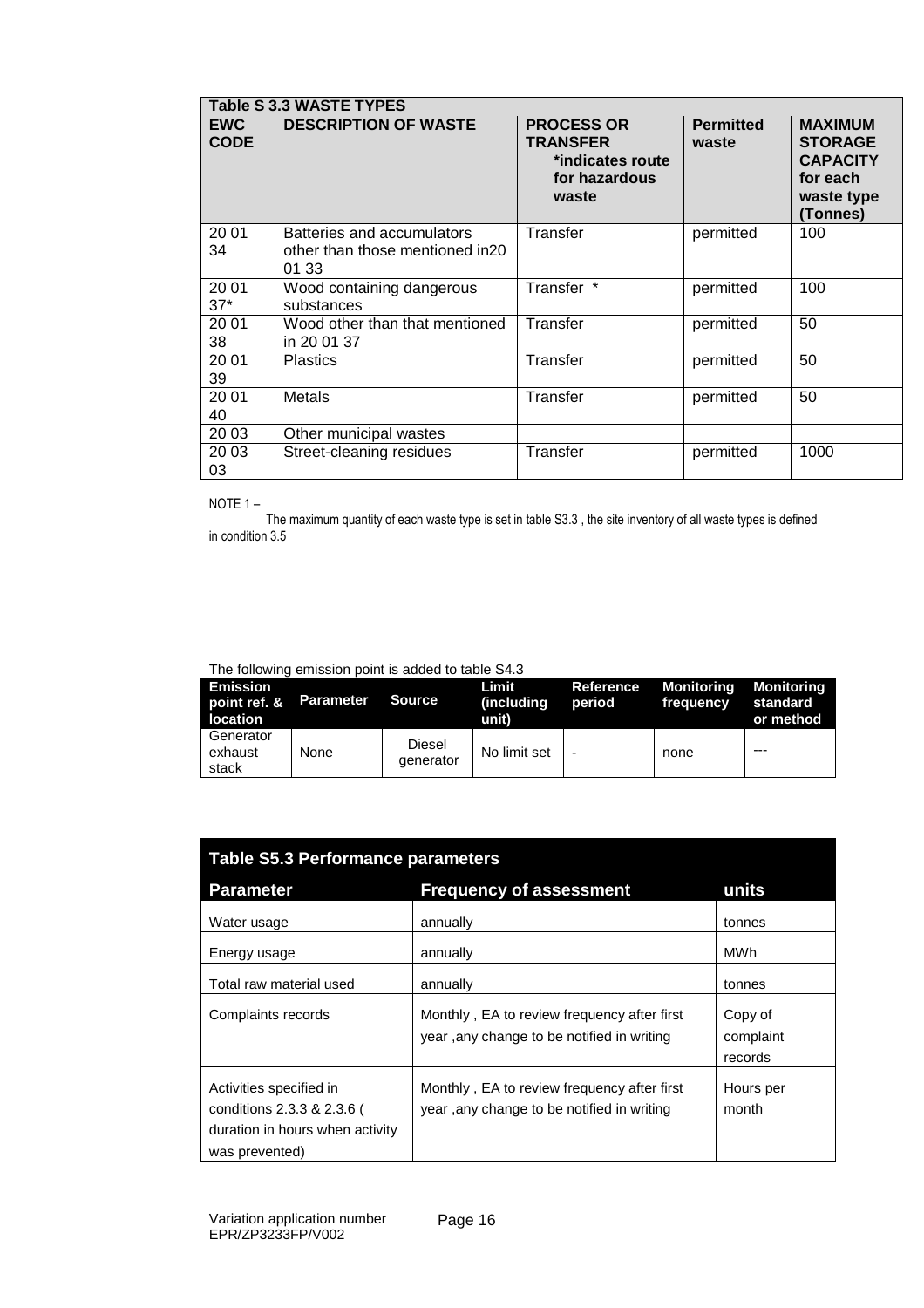|                           | <b>Table S 3.3 WASTE TYPES</b>                                         |                                                                                    |                           |                                                                                           |  |  |  |
|---------------------------|------------------------------------------------------------------------|------------------------------------------------------------------------------------|---------------------------|-------------------------------------------------------------------------------------------|--|--|--|
| <b>EWC</b><br><b>CODE</b> | <b>DESCRIPTION OF WASTE</b>                                            | <b>PROCESS OR</b><br><b>TRANSFER</b><br>*indicates route<br>for hazardous<br>waste | <b>Permitted</b><br>waste | <b>MAXIMUM</b><br><b>STORAGE</b><br><b>CAPACITY</b><br>for each<br>waste type<br>(Tonnes) |  |  |  |
| 20 01<br>34               | Batteries and accumulators<br>other than those mentioned in20<br>01 33 | Transfer                                                                           | permitted                 | 100                                                                                       |  |  |  |
| 20 01<br>$37*$            | Wood containing dangerous<br>substances                                | Transfer *                                                                         | permitted                 | 100                                                                                       |  |  |  |
| 20 01<br>38               | Wood other than that mentioned<br>in 20 01 37                          | Transfer                                                                           | permitted                 | 50                                                                                        |  |  |  |
| 20 01<br>39               | <b>Plastics</b>                                                        | Transfer                                                                           | permitted                 | 50                                                                                        |  |  |  |
| 20 01<br>40               | <b>Metals</b>                                                          | Transfer                                                                           | permitted                 | 50                                                                                        |  |  |  |
| 20 03                     | Other municipal wastes                                                 |                                                                                    |                           |                                                                                           |  |  |  |
| 20 03<br>03               | Street-cleaning residues                                               | <b>Transfer</b>                                                                    | permitted                 | 1000                                                                                      |  |  |  |

#### NOTE 1 –

 The maximum quantity of each waste type is set in table S3.3 , the site inventory of all waste types is defined in condition 3.5

The following emission point is added to table S4.3

| Emission<br>point ref. & Parameter Source<br><b>location</b> |      |                     | Limit<br><i>(including)</i><br>unit) | period | Reference Monitoring Monitoring<br>frequency | standard<br>or method |
|--------------------------------------------------------------|------|---------------------|--------------------------------------|--------|----------------------------------------------|-----------------------|
| Generator<br>exhaust<br>stack                                | None | Diesel<br>generator | No limit set                         |        | none                                         | ---                   |

| Table S5.3 Performance parameters                                                                          |                                                                                           |                                 |  |  |  |
|------------------------------------------------------------------------------------------------------------|-------------------------------------------------------------------------------------------|---------------------------------|--|--|--|
| <b>Parameter</b>                                                                                           | <b>Frequency of assessment</b>                                                            | units                           |  |  |  |
| Water usage                                                                                                | annually                                                                                  | tonnes                          |  |  |  |
| Energy usage                                                                                               | annually                                                                                  | MWh                             |  |  |  |
| Total raw material used                                                                                    | annually                                                                                  | tonnes                          |  |  |  |
| Complaints records                                                                                         | Monthly, EA to review frequency after first<br>year, any change to be notified in writing | Copy of<br>complaint<br>records |  |  |  |
| Activities specified in<br>conditions 2.3.3 & 2.3.6 (<br>duration in hours when activity<br>was prevented) | Monthly, EA to review frequency after first<br>year, any change to be notified in writing | Hours per<br>month              |  |  |  |